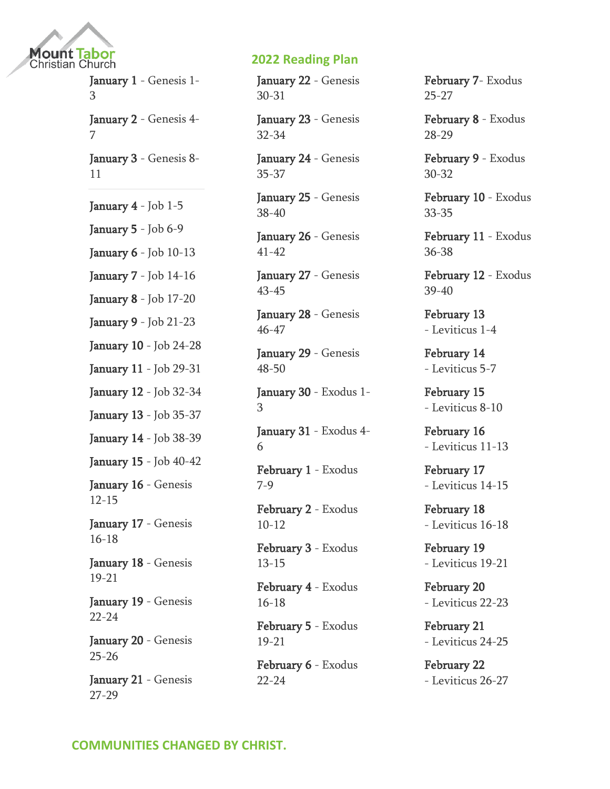

January 1 - Genesis 1- 3

January 2 - Genesis 4- 7

January 3 - Genesis 8- 11

January 4 - Job 1-5

January 5 - Job 6-9

January 6 - Job 10-13

January 7 - Job 14-16

January 8 - Job 17-20

January 9 - Job 21-23

January 10 - Job 24-28

January 11 - Job 29-31

January 12 - Job 32-34

January 13 - Job 35-37

January 14 - Job 38-39

January 15 - Job 40-42

January 16 - Genesis 12-15

January 17 - Genesis 16-18

January 18 - Genesis 19-21

January 19 - Genesis 22-24

January 20 - Genesis 25-26

January 21 - Genesis 27-29

### **2022 Reading Plan**

January 22 - Genesis 30-31

January 23 - Genesis 32-34

January 24 - Genesis 35-37

January 25 - Genesis 38-40

January 26 - Genesis 41-42

January 27 - Genesis 43-45

January 28 - Genesis 46-47

January 29 - Genesis 48-50

January 30 - Exodus 1- 3

January 31 - Exodus 4- 6

February 1 - Exodus 7-9

February 2 - Exodus 10-12

February 3 - Exodus 13-15

February 4 - Exodus 16-18

February 5 - Exodus 19-21

February 6 - Exodus 22-24

February 7- Exodus 25-27

February 8 - Exodus 28-29

February 9 - [Exodus](https://www.biblestudytools.com/passage/?q=Exodus+30:1-38;+Exodus+31:1-18;+Exodus+32:1-35)  [30-32](https://www.biblestudytools.com/passage/?q=Exodus+30:1-38;+Exodus+31:1-18;+Exodus+32:1-35)

February 10 - [Exodus](https://www.biblestudytools.com/passage/?q=Exodus+33:1-23;+Exodus+34:1-35;+Exodus+35:1-35)  [33-35](https://www.biblestudytools.com/passage/?q=Exodus+33:1-23;+Exodus+34:1-35;+Exodus+35:1-35)

February 11 - [Exodus](https://www.biblestudytools.com/passage/?q=Exodus+36:1-38;+Exodus+37:1-29;+Exodus+38:1-31)  [36-38](https://www.biblestudytools.com/passage/?q=Exodus+36:1-38;+Exodus+37:1-29;+Exodus+38:1-31)

February 12 - [Exodus](https://www.biblestudytools.com/passage/?q=Exodus+39:1-43;+Exodus+40:1-38)  [39-40](https://www.biblestudytools.com/passage/?q=Exodus+39:1-43;+Exodus+40:1-38)

February 13 - [Leviticus 1-4](https://www.biblestudytools.com/passage/?q=Leviticus+1:1-17;+Leviticus+2:1-16;+Leviticus+3:1-17;+Leviticus+4:1-35)

February 14 - [Leviticus 5-7](https://www.biblestudytools.com/passage/?q=Leviticus+5:1-19;+Leviticus+6:1-30;+Leviticus+7:1-38)

February 15 - [Leviticus 8-10](https://www.biblestudytools.com/passage/?q=Leviticus+8:1-36;+Leviticus+9:1-24;+Leviticus+10:1-20)

February 16 - [Leviticus 11-13](https://www.biblestudytools.com/passage/?q=Leviticus+11:1-47;+Leviticus+12:1-8;+Leviticus+13:1-59)

February 17 - [Leviticus 14-15](https://www.biblestudytools.com/passage/?q=Leviticus+14:1-57;+Leviticus+15:1-33)

February 18 - [Leviticus 16-18](https://www.biblestudytools.com/passage/?q=Leviticus+16:1-34;+Leviticus+17:1-16;+Leviticus+18:1-30)

February 19 - [Leviticus 19-21](https://www.biblestudytools.com/passage/?q=Leviticus+19:1-37;+Leviticus+20:1-27;+Leviticus+21:1-24)

February 20 - [Leviticus 22-23](https://www.biblestudytools.com/passage/?q=Leviticus+22:1-33;+Leviticus+23:1-44)

February 21 - [Leviticus 24-25](https://www.biblestudytools.com/passage/?q=Leviticus+24:1-23;+Leviticus+25:1-55)

February 22 - [Leviticus 26-27](https://www.biblestudytools.com/passage/?q=Leviticus+26:1-46;+Leviticus+27:1-34)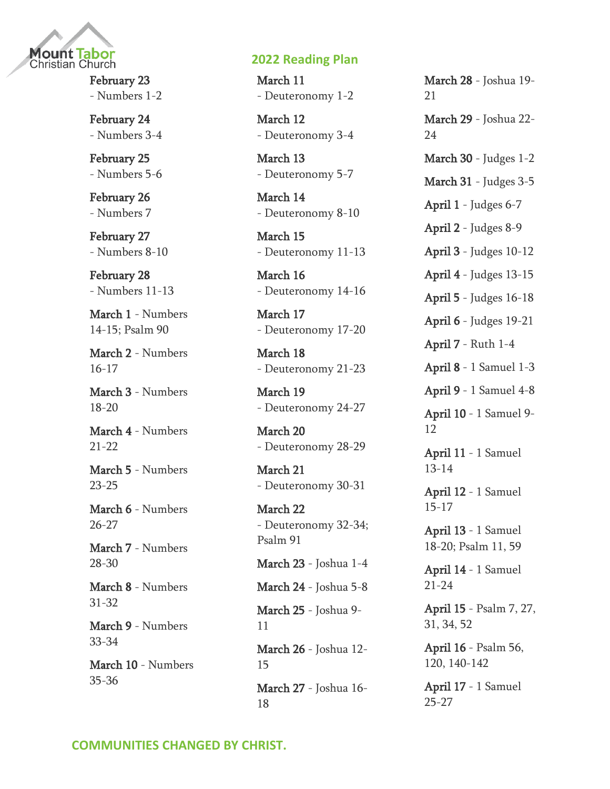

February 23 - [Numbers 1-2](https://www.biblestudytools.com/passage/?q=Numbers+1:1-54;+Numbers+2:1-34)

February 24 - [Numbers 3-4](https://www.biblestudytools.com/passage/?q=Numbers+3:1-51;+Numbers+4:1-49)

February 25 - [Numbers 5-6](https://www.biblestudytools.com/passage/?q=Numbers+5:1-31;+Numbers+6:1-27)

February 26 - [Numbers 7](https://www.biblestudytools.com/passage/?q=Numbers+7:1-89)

February 27 - [Numbers 8-10](https://www.biblestudytools.com/passage/?q=Numbers+8:1-26;+Numbers+9:1-23;+Numbers+10:1-36)

February 28 - [Numbers 11-13](https://www.biblestudytools.com/passage/?q=Numbers+11:1-35;+Numbers+12:1-16;+Numbers+13:1-34)

March 1 - [Numbers](https://www.biblestudytools.com/passage/?q=Numbers+14:1-45;+Numbers+15:1-41;+Psalms+90:1-17)  [14-15; Psalm 90](https://www.biblestudytools.com/passage/?q=Numbers+14:1-45;+Numbers+15:1-41;+Psalms+90:1-17)

March 2 - [Numbers](https://www.biblestudytools.com/passage/?q=Numbers+16:1-50;+Numbers+17:1-13)  [16-17](https://www.biblestudytools.com/passage/?q=Numbers+16:1-50;+Numbers+17:1-13)

March 3 - [Numbers](https://www.biblestudytools.com/passage/?q=Numbers+18:1-32;+Numbers+19:1-22;+Numbers+20:1-30)  [18-20](https://www.biblestudytools.com/passage/?q=Numbers+18:1-32;+Numbers+19:1-22;+Numbers+20:1-30)

March 4 - [Numbers](https://www.biblestudytools.com/passage/?q=Numbers+21:1-35;+Numbers+22:1-41)  [21-22](https://www.biblestudytools.com/passage/?q=Numbers+21:1-35;+Numbers+22:1-41)

March 5 - [Numbers](https://www.biblestudytools.com/passage/?q=Numbers+23:1-30;+Numbers+24:1-25;+Numbers+25:1-18)  [23-25](https://www.biblestudytools.com/passage/?q=Numbers+23:1-30;+Numbers+24:1-25;+Numbers+25:1-18)

March 6 - [Numbers](https://www.biblestudytools.com/passage/?q=Numbers+26:1-65;+Numbers+27:1-23)  [26-27](https://www.biblestudytools.com/passage/?q=Numbers+26:1-65;+Numbers+27:1-23)

March 7 - [Numbers](https://www.biblestudytools.com/passage/?q=Numbers+28:1-31;+Numbers+29:1-40;+Numbers+30:1-17)  [28-30](https://www.biblestudytools.com/passage/?q=Numbers+28:1-31;+Numbers+29:1-40;+Numbers+30:1-17)

March 8 - [Numbers](https://www.biblestudytools.com/passage/?q=Numbers+31:1-54;+Numbers+32:1-42)  [31-32](https://www.biblestudytools.com/passage/?q=Numbers+31:1-54;+Numbers+32:1-42)

March 9 - [Numbers](https://www.biblestudytools.com/passage/?q=Numbers+33:1-56;+Numbers+34:1-29)  [33-34](https://www.biblestudytools.com/passage/?q=Numbers+33:1-56;+Numbers+34:1-29)

March 10 - [Numbers](https://www.biblestudytools.com/passage/?q=Numbers+35:1-34;+Numbers+36:1-13)  [35-36](https://www.biblestudytools.com/passage/?q=Numbers+35:1-34;+Numbers+36:1-13)

#### **2022 Reading Plan**

March 11 - [Deuteronomy 1-2](https://www.biblestudytools.com/passage/?q=Deuteronomy+1:1-46;+Deuteronomy+2:1-37)

March 12 - [Deuteronomy 3-4](https://www.biblestudytools.com/passage/?q=Deuteronomy+3:1-29;+Deuteronomy+4:1-49)

March 13 - [Deuteronomy 5-7](https://www.biblestudytools.com/passage/?q=Deuteronomy+5:1-33;+Deuteronomy+6:1-25;+Deuteronomy+7:1-26)

March 14 - [Deuteronomy 8-10](https://www.biblestudytools.com/passage/?q=Deuteronomy+8:1-20;+Deuteronomy+9:1-29;+Deuteronomy+10:1-22)

March 15 - [Deuteronomy 11-13](https://www.biblestudytools.com/passage/?q=Deuteronomy+11:1-32;+Deuteronomy+12:1-32;+Deuteronomy+13:1-18)

March 16 - [Deuteronomy 14-16](https://www.biblestudytools.com/passage/?q=Deuteronomy+14:1-29;+Deuteronomy+15:1-23;+Deuteronomy+16:1-22)

March 17 - [Deuteronomy 17-20](https://www.biblestudytools.com/passage/?q=Deuteronomy+17:1-20;+Deuteronomy+18:1-22;+Deuteronomy+19:1-21;+Deuteronomy+20:1-20)

March 18 - [Deuteronomy 21-23](https://www.biblestudytools.com/passage/?q=Deuteronomy+21:1-23;+Deuteronomy+22:1-30;+Deuteronomy+23:1-25)

March 19 - [Deuteronomy 24-27](https://www.biblestudytools.com/passage/?q=Deuteronomy+24:1-22;+Deuteronomy+25:1-19;+Deuteronomy+26:1-19;+Deuteronomy+27:1-26)

March 20 - [Deuteronomy 28-29](https://www.biblestudytools.com/passage/?q=Deuteronomy+28:1-68;+Deuteronomy+29:1-29)

March 21 - [Deuteronomy 30-31](https://www.biblestudytools.com/passage/?q=Deuteronomy+30:1-20;+Deuteronomy+31:1-30)

March 22 - [Deuteronomy 32-34;](https://www.biblestudytools.com/passage/?q=Deuteronomy+32:1-52;+Deuteronomy+33:1-29;+Deuteronomy+34:1-12;+Psalms+91:1-16)  [Psalm 91](https://www.biblestudytools.com/passage/?q=Deuteronomy+32:1-52;+Deuteronomy+33:1-29;+Deuteronomy+34:1-12;+Psalms+91:1-16)

March 23 - [Joshua 1-4](https://www.biblestudytools.com/passage/?q=Joshua+1:1-18;+Joshua+2:1-24;+Joshua+3:1-17;+Joshua+4:1-25)

March 24 - [Joshua 5-8](https://www.biblestudytools.com/passage/?q=Joshua+5:1-16;+Joshua+6:1-27;+Joshua+7:1-26;+Joshua+8:1-35)

March 25 - [Joshua 9-](https://www.biblestudytools.com/passage/?q=Joshua+9:1-27;+Joshua+10:1-44;+Joshua+11:1-23) [11](https://www.biblestudytools.com/passage/?q=Joshua+9:1-27;+Joshua+10:1-44;+Joshua+11:1-23)

March 26 - [Joshua 12-](https://www.biblestudytools.com/passage/?q=Joshua+12:1-24;+Joshua+13:1-33;+Joshua+14:1-15;+Joshua+15:1-63) [15](https://www.biblestudytools.com/passage/?q=Joshua+12:1-24;+Joshua+13:1-33;+Joshua+14:1-15;+Joshua+15:1-63) March 27 - [Joshua 16-](https://www.biblestudytools.com/passage/?q=Joshua+16:1-10;+Joshua+17:1-18;+Joshua+18:1-28)

[18](https://www.biblestudytools.com/passage/?q=Joshua+16:1-10;+Joshua+17:1-18;+Joshua+18:1-28)

March 28 - [Joshua 19-](https://www.biblestudytools.com/passage/?q=Joshua+19:1-51;+Joshua+20:1-9;+Joshua+21:1-45) [21](https://www.biblestudytools.com/passage/?q=Joshua+19:1-51;+Joshua+20:1-9;+Joshua+21:1-45) March 29 - [Joshua 22-](https://www.biblestudytools.com/passage/?q=Joshua+22:1-34;+Joshua+23:1-16;+Joshua+24:1-33) [24](https://www.biblestudytools.com/passage/?q=Joshua+22:1-34;+Joshua+23:1-16;+Joshua+24:1-33) March 30 - [Judges 1-2](https://www.biblestudytools.com/passage/?q=Judges+1:1-36;+Judges+2:1-23) March 31 - [Judges 3-5](https://www.biblestudytools.com/passage/?q=Judges+3:1-31;+Judges+4:1-24;+Judges+5:1-32) April 1 - [Judges 6-7](https://www.biblestudytools.com/passage/?q=Judges+6:1-40;+Judges+7:1-25) April 2 - [Judges 8-9](https://www.biblestudytools.com/passage/?q=Judges+8:1-35;+Judges+9:1-57) April 3 - [Judges 10-12](https://www.biblestudytools.com/passage/?q=Judges+10:1-18;+Judges+11:1-40;+Judges+12:1-15) April 4 - [Judges 13-15](https://www.biblestudytools.com/passage/?q=Judges+13:1-25;+Judges+14:1-20;+Judges+15:1-20) April 5 - [Judges 16-18](https://www.biblestudytools.com/passage/?q=Judges+16:1-31;+Judges+17:1-13;+Judges+18:1-31) April 6 - [Judges 19-21](https://www.biblestudytools.com/passage/?q=Judges+19:1-30;+Judges+20:1-48;+Judges+21:1-25) April 7 - [Ruth 1-4](https://www.biblestudytools.com/passage/?q=Ruth+1:1-22;+Ruth+2:1-23;+Ruth+3:1-18;+Ruth+4:1-22) April 8 - [1 Samuel 1-3](https://www.biblestudytools.com/passage/?q=1+Samuel+1:1-28;+1+Samuel+2:1-36;+1+Samuel+3:1-21) April 9 - [1 Samuel 4-8](https://www.biblestudytools.com/passage/?q=1+Samuel+4:1-22;+1+Samuel+5:1-12;+1+Samuel+6:1-21;+1+Samuel+7:1-17;+1+Samuel+8:1-22) April 10 - [1 Samuel 9-](https://www.biblestudytools.com/passage/?q=1+Samuel+9:1-27;+1+Samuel+10:1-27;+1+Samuel+11:1-15;+1+Samuel+12:1-25) [12](https://www.biblestudytools.com/passage/?q=1+Samuel+9:1-27;+1+Samuel+10:1-27;+1+Samuel+11:1-15;+1+Samuel+12:1-25) April 11 - [1 Samuel](https://www.biblestudytools.com/passage/?q=1+Samuel+13:1-23;+1+Samuel+14:1-52)  [13-14](https://www.biblestudytools.com/passage/?q=1+Samuel+13:1-23;+1+Samuel+14:1-52) April 12 - [1 Samuel](https://www.biblestudytools.com/passage/?q=1+Samuel+15:1-35;+1+Samuel+16:1-23;+1+Samuel+17:1-58)  [15-17](https://www.biblestudytools.com/passage/?q=1+Samuel+15:1-35;+1+Samuel+16:1-23;+1+Samuel+17:1-58) April 13 - [1 Samuel](https://www.biblestudytools.com/passage/?q=1+Samuel+18:1-30;+1+Samuel+19:1-24;+1+Samuel+20:1-43;+Psalms+11:1-9;+Psalms+59:1-18)  [18-20; Psalm 11, 59](https://www.biblestudytools.com/passage/?q=1+Samuel+18:1-30;+1+Samuel+19:1-24;+1+Samuel+20:1-43;+Psalms+11:1-9;+Psalms+59:1-18) April 14 - [1 Samuel](https://www.biblestudytools.com/passage/?q=1+Samuel+21:1-15;+1+Samuel+22:1-23;+1+Samuel+23:1-29;+1+Samuel+24:1-23)  [21-24](https://www.biblestudytools.com/passage/?q=1+Samuel+21:1-15;+1+Samuel+22:1-23;+1+Samuel+23:1-29;+1+Samuel+24:1-23) April 15 - [Psalm 7, 27,](https://www.biblestudytools.com/passage/?q=Psalms+7:1-18;+Psalms+27:1-14;+Psalms+31:1-25;+Psalms+34:1-28;+Psalms+52:1-11)  [31, 34, 52](https://www.biblestudytools.com/passage/?q=Psalms+7:1-18;+Psalms+27:1-14;+Psalms+31:1-25;+Psalms+34:1-28;+Psalms+52:1-11)

April 16 - [Psalm 56,](https://www.biblestudytools.com/passage/?q=Psalms+56:1-14;+Psalms+120:1-8;+Psalms+140:1-14;+Psalms+141:1-10;+Psalms+142:1-12)  [120, 140-142](https://www.biblestudytools.com/passage/?q=Psalms+56:1-14;+Psalms+120:1-8;+Psalms+140:1-14;+Psalms+141:1-10;+Psalms+142:1-12)

April 17 - [1 Samuel](https://www.biblestudytools.com/passage/?q=1+Samuel+25:1-44;+1+Samuel+26:1-25;+1+Samuel+27:1-12)  [25-27](https://www.biblestudytools.com/passage/?q=1+Samuel+25:1-44;+1+Samuel+26:1-25;+1+Samuel+27:1-12)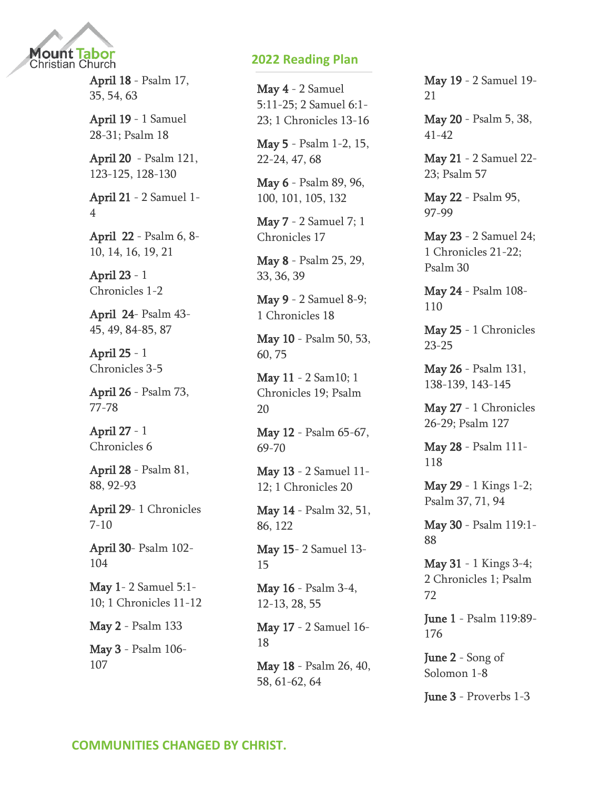

April 18 - [Psalm 17,](https://www.biblestudytools.com/passage/?q=Psalms+17:1-51;+Psalms+35:1-28;+Psalms+54:1-24;+Psalms+63:1-12)  [35, 54, 63](https://www.biblestudytools.com/passage/?q=Psalms+17:1-51;+Psalms+35:1-28;+Psalms+54:1-24;+Psalms+63:1-12)

April 19 - [1 Samuel](https://www.biblestudytools.com/passage/?q=1+Samuel+28:1-25;+1+Samuel+29:1-11;+1+Samuel+30:1-31;+1+Samuel+31:1-13;+Psalms+18:1-51)  [28-31; Psalm 18](https://www.biblestudytools.com/passage/?q=1+Samuel+28:1-25;+1+Samuel+29:1-11;+1+Samuel+30:1-31;+1+Samuel+31:1-13;+Psalms+18:1-51)

April 20 - [Psalm 121,](https://www.biblestudytools.com/passage/?q=Psalms+121:1-9;+Psalms+123:1-8;+Psalms+124:1-8;+Psalms+125:1-6;+Psalms+128:1-8;+Psalms+129:1-8;+Psalms+130:1-8)  [123-125, 128-130](https://www.biblestudytools.com/passage/?q=Psalms+121:1-9;+Psalms+123:1-8;+Psalms+124:1-8;+Psalms+125:1-6;+Psalms+128:1-8;+Psalms+129:1-8;+Psalms+130:1-8)

April 21 - [2 Samuel 1-](https://www.biblestudytools.com/passage/?q=2+Samuel+1:1-27;+2+Samuel+2:1-32;+2+Samuel+3:1-39;+2+Samuel+4:1-12) [4](https://www.biblestudytools.com/passage/?q=2+Samuel+1:1-27;+2+Samuel+2:1-32;+2+Samuel+3:1-39;+2+Samuel+4:1-12)

April 22 - [Psalm 6, 8-](https://www.biblestudytools.com/passage/?q=Psalms+6:1-11;+Psalms+8:1-10;+Psalms+9:1-39;+Psalms+10:1-18;+Psalms+14:1-7;+Psalms+16:1-15;+Psalms+19:1-15;+Psalms+21:1-32) [10, 14, 16, 19, 21](https://www.biblestudytools.com/passage/?q=Psalms+6:1-11;+Psalms+8:1-10;+Psalms+9:1-39;+Psalms+10:1-18;+Psalms+14:1-7;+Psalms+16:1-15;+Psalms+19:1-15;+Psalms+21:1-32)

April 23 - [1](https://www.biblestudytools.com/passage/?q=1+Chronicles+1:1-54;+1+Chronicles+2:1-55)  [Chronicles 1-2](https://www.biblestudytools.com/passage/?q=1+Chronicles+1:1-54;+1+Chronicles+2:1-55)

April 24- [Psalm 43-](https://www.biblestudytools.com/passage/?q=Psalms+43:1-26;+Psalms+44:1-27;+Psalms+45:1-18;+Psalms+49:1-23;+Psalms+84:1-14;+Psalms+85:1-17;+Psalms+87:1-19) [45, 49, 84-85, 87](https://www.biblestudytools.com/passage/?q=Psalms+43:1-26;+Psalms+44:1-27;+Psalms+45:1-18;+Psalms+49:1-23;+Psalms+84:1-14;+Psalms+85:1-17;+Psalms+87:1-19)

April 25 - [1](https://www.biblestudytools.com/passage/?q=1+Chronicles+3:1-24;+1+Chronicles+4:1-43;+1+Chronicles+5:1-26)  [Chronicles 3-5](https://www.biblestudytools.com/passage/?q=1+Chronicles+3:1-24;+1+Chronicles+4:1-43;+1+Chronicles+5:1-26)

April 26 - [Psalm 73,](https://www.biblestudytools.com/passage/?q=Psalms+73:1-28;+Psalms+77:1-72;+Psalms+78:1-72)  [77-78](https://www.biblestudytools.com/passage/?q=Psalms+73:1-28;+Psalms+77:1-72;+Psalms+78:1-72)

April 27 - [1](https://www.biblestudytools.com/passage/?q=1+Chronicles+6:1-81)  [Chronicles 6](https://www.biblestudytools.com/passage/?q=1+Chronicles+6:1-81)

April 28 - [Psalm 81,](https://www.biblestudytools.com/passage/?q=Psalms+81:1-17;+Psalms+88:1-53;+Psalms+92:1-16;+Psalms+93:1-23)  [88, 92-93](https://www.biblestudytools.com/passage/?q=Psalms+81:1-17;+Psalms+88:1-53;+Psalms+92:1-16;+Psalms+93:1-23)

April 29- [1 Chronicles](https://www.biblestudytools.com/passage/?q=1+Chronicles+7:1-40;+1+Chronicles+8:1-40;+1+Chronicles+9:1-44;+1+Chronicles+10:1-14)  [7-10](https://www.biblestudytools.com/passage/?q=1+Chronicles+7:1-40;+1+Chronicles+8:1-40;+1+Chronicles+9:1-44;+1+Chronicles+10:1-14)

April 30- [Psalm 102-](https://www.biblestudytools.com/passage/?q=Psalms+102:1-29;+Psalms+103:1-35;+Psalms+104:1-45) [104](https://www.biblestudytools.com/passage/?q=Psalms+102:1-29;+Psalms+103:1-35;+Psalms+104:1-45)

May 1- [2 Samuel 5:1-](https://www.biblestudytools.com/passage/?q=2+Samuel+5:1-10;+1+Chronicles+11:1-47;+1+Chronicles+12:1-40) [10; 1 Chronicles 11-12](https://www.biblestudytools.com/passage/?q=2+Samuel+5:1-10;+1+Chronicles+11:1-47;+1+Chronicles+12:1-40)

May 2 - [Psalm 133](https://www.biblestudytools.com/passage/?q=Psalms+133:1-3)

May 3 - [Psalm 106-](https://www.biblestudytools.com/passage/?q=Psalms+106:1-48;+Psalms+107:1-43) [107](https://www.biblestudytools.com/passage/?q=Psalms+106:1-48;+Psalms+107:1-43)

### **2022 Reading Plan**

May 4 - [2 Samuel](https://www.biblestudytools.com/passage/?q=2+Samuel+5:11-25;+2+Samuel+6:1-23;+1+Chronicles+13:1-14;+1+Chronicles+14:1-17;+1+Chronicles+15:1-29;+1+Chronicles+16:1-43)  [5:11-25; 2 Samuel 6:1-](https://www.biblestudytools.com/passage/?q=2+Samuel+5:11-25;+2+Samuel+6:1-23;+1+Chronicles+13:1-14;+1+Chronicles+14:1-17;+1+Chronicles+15:1-29;+1+Chronicles+16:1-43) [23; 1 Chronicles 13-16](https://www.biblestudytools.com/passage/?q=2+Samuel+5:11-25;+2+Samuel+6:1-23;+1+Chronicles+13:1-14;+1+Chronicles+14:1-17;+1+Chronicles+15:1-29;+1+Chronicles+16:1-43)

May 5 - [Psalm 1-2, 15,](https://www.biblestudytools.com/passage/?q=Psalms+1:1-6;+Psalms+2:1-13;+Psalms+15:1-10;+Psalms+22:1-32;+Psalms+23:1-10;+Psalms+24:1-22;+Psalms+47:1-15;+Psalms+68:1-37)  [22-24, 47, 68](https://www.biblestudytools.com/passage/?q=Psalms+1:1-6;+Psalms+2:1-13;+Psalms+15:1-10;+Psalms+22:1-32;+Psalms+23:1-10;+Psalms+24:1-22;+Psalms+47:1-15;+Psalms+68:1-37)

May 6 - [Psalm 89, 96,](https://www.biblestudytools.com/passage/?q=Psalms+89:1-53;+Psalms+96:1-13;+Psalms+100:1-8;+Psalms+101:1-29;+Psalms+105:1-48;+Psalms+132:1-18)  [100, 101, 105, 132](https://www.biblestudytools.com/passage/?q=Psalms+89:1-53;+Psalms+96:1-13;+Psalms+100:1-8;+Psalms+101:1-29;+Psalms+105:1-48;+Psalms+132:1-18)

May 7 - [2 Samuel 7; 1](https://www.biblestudytools.com/passage/?q=2+Samuel+7:1-29;+1+Chronicles+17:1-27)  [Chronicles 17](https://www.biblestudytools.com/passage/?q=2+Samuel+7:1-29;+1+Chronicles+17:1-27)

May 8 - [Psalm 25, 29,](https://www.biblestudytools.com/passage/?q=Psalms+25:1-22;+Psalms+29:1-13;+Psalms+33:1-23;+Psalms+36:1-40;+Psalms+39:1-18)  [33, 36, 39](https://www.biblestudytools.com/passage/?q=Psalms+25:1-22;+Psalms+29:1-13;+Psalms+33:1-23;+Psalms+36:1-40;+Psalms+39:1-18)

May 9 - [2 Samuel 8-9;](https://www.biblestudytools.com/passage/?q=2+Samuel+8:1-18;+2+Samuel+9:1-13;+1+Chronicles+18:1-17)  [1 Chronicles 18](https://www.biblestudytools.com/passage/?q=2+Samuel+8:1-18;+2+Samuel+9:1-13;+1+Chronicles+18:1-17)

May 10 - [Psalm 50, 53,](https://www.biblestudytools.com/passage/?q=Psalms+50:1-23;+Psalms+53:1-9;+Psalms+60:1-14;+Psalms+75:1-13)  [60, 75](https://www.biblestudytools.com/passage/?q=Psalms+50:1-23;+Psalms+53:1-9;+Psalms+60:1-14;+Psalms+75:1-13)

May 11 - [2 Sam10; 1](https://www.biblestudytools.com/passage/?q=2+Samuel+10:1-19;+1+Chronicles+19:1-20;+Psalms+20:1-14)  [Chronicles 19; Psalm](https://www.biblestudytools.com/passage/?q=2+Samuel+10:1-19;+1+Chronicles+19:1-20;+Psalms+20:1-14)  [20](https://www.biblestudytools.com/passage/?q=2+Samuel+10:1-19;+1+Chronicles+19:1-20;+Psalms+20:1-14)

May 12 - [Psalm 65-67,](https://www.biblestudytools.com/passage/?q=Psalms+65:1-20;+Psalms+66:1-20;+Psalms+67:1-36;+Psalms+69:1-37;+Psalms+70:1-24)  [69-70](https://www.biblestudytools.com/passage/?q=Psalms+65:1-20;+Psalms+66:1-20;+Psalms+67:1-36;+Psalms+69:1-37;+Psalms+70:1-24)

May 13 - [2 Samuel 11-](https://www.biblestudytools.com/passage/?q=2+Samuel+11:1-27;+2+Samuel+12:1-31;+1+Chronicles+20:1-8) [12; 1 Chronicles 20](https://www.biblestudytools.com/passage/?q=2+Samuel+11:1-27;+2+Samuel+12:1-31;+1+Chronicles+20:1-8)

May 14 - [Psalm 32, 51,](https://www.biblestudytools.com/passage/?q=Psalms+32:1-22;+Psalms+51:1-21;+Psalms+86:1-17;+Psalms+122:1-9)  [86, 122](https://www.biblestudytools.com/passage/?q=Psalms+32:1-22;+Psalms+51:1-21;+Psalms+86:1-17;+Psalms+122:1-9)

May 15- [2 Samuel 13-](https://www.biblestudytools.com/passage/?q=2+Samuel+13:1-39;+2+Samuel+14:1-33;+2+Samuel+15:1-37) [15](https://www.biblestudytools.com/passage/?q=2+Samuel+13:1-39;+2+Samuel+14:1-33;+2+Samuel+15:1-37)

May 16 - [Psalm 3-4,](https://www.biblestudytools.com/passage/?q=Psalms+3:1-9;+Psalms+4:1-10;+Psalms+12:1-9;+Psalms+13:1-7;+Psalms+28:1-11;+Psalms+55:1-24)  [12-13, 28, 55](https://www.biblestudytools.com/passage/?q=Psalms+3:1-9;+Psalms+4:1-10;+Psalms+12:1-9;+Psalms+13:1-7;+Psalms+28:1-11;+Psalms+55:1-24)

May 17 - [2 Samuel 16-](https://www.biblestudytools.com/passage/?q=2+Samuel+16:1-23;+2+Samuel+17:1-29;+2+Samuel+18:1-33) [18](https://www.biblestudytools.com/passage/?q=2+Samuel+16:1-23;+2+Samuel+17:1-29;+2+Samuel+18:1-33)

May 18 - [Psalm 26, 40,](https://www.biblestudytools.com/passage/?q=Psalms+26:1-14;+Psalms+40:1-18;+Psalms+58:1-18;+Psalms+61:1-13;+Psalms+62:1-13;+Psalms+64:1-14)  [58, 61-62, 64](https://www.biblestudytools.com/passage/?q=Psalms+26:1-14;+Psalms+40:1-18;+Psalms+58:1-18;+Psalms+61:1-13;+Psalms+62:1-13;+Psalms+64:1-14)

May 19 - [2 Samuel 19-](https://www.biblestudytools.com/passage/?q=2+Samuel+19:1-43;+2+Samuel+20:1-26;+2+Samuel+21:1-22) [21](https://www.biblestudytools.com/passage/?q=2+Samuel+19:1-43;+2+Samuel+20:1-26;+2+Samuel+21:1-22)

May 20 - [Psalm 5, 38,](https://www.biblestudytools.com/passage/?q=Psalms+5:1-13;+Psalms+38:1-23;+Psalms+41:1-14;+Psalms+42:1-12)  [41-42](https://www.biblestudytools.com/passage/?q=Psalms+5:1-13;+Psalms+38:1-23;+Psalms+41:1-14;+Psalms+42:1-12)

May 21 - [2 Samuel 22-](https://www.biblestudytools.com/passage/?q=2+Samuel+22:1-51;+2+Samuel+23:1-39;+Psalms+57:1-12) [23; Psalm 57](https://www.biblestudytools.com/passage/?q=2+Samuel+22:1-51;+2+Samuel+23:1-39;+Psalms+57:1-12)

May 22 - [Psalm 95,](https://www.biblestudytools.com/passage/?q=Psalms+95:1-13;+Psalms+97:1-12;+Psalms+98:1-9;+Psalms+99:1-9)  [97-99](https://www.biblestudytools.com/passage/?q=Psalms+95:1-13;+Psalms+97:1-12;+Psalms+98:1-9;+Psalms+99:1-9)

May 23 - [2 Samuel 24;](https://www.biblestudytools.com/passage/?q=2+Samuel+24:1-25;+1+Chronicles+21:1-30;+1+Chronicles+22:1-19;+Psalms+30:1-25)  [1 Chronicles 21-22;](https://www.biblestudytools.com/passage/?q=2+Samuel+24:1-25;+1+Chronicles+21:1-30;+1+Chronicles+22:1-19;+Psalms+30:1-25)  [Psalm 30](https://www.biblestudytools.com/passage/?q=2+Samuel+24:1-25;+1+Chronicles+21:1-30;+1+Chronicles+22:1-19;+Psalms+30:1-25)

May 24 - [Psalm 108-](https://www.biblestudytools.com/passage/?q=Psalms+108:1-31;+Psalms+109:1-31;+Psalms+110:1-10) [110](https://www.biblestudytools.com/passage/?q=Psalms+108:1-31;+Psalms+109:1-31;+Psalms+110:1-10)

May 25 - [1 Chronicles](https://www.biblestudytools.com/passage/?q=1+Chronicles+23:1-32;+1+Chronicles+24:1-31;+1+Chronicles+25:1-31)  [23-25](https://www.biblestudytools.com/passage/?q=1+Chronicles+23:1-32;+1+Chronicles+24:1-31;+1+Chronicles+25:1-31)

May 26 - [Psalm 131,](https://www.biblestudytools.com/passage/?q=Psalms+131:1-18;+Psalms+138:1-24;+Psalms+139:1-24;+Psalms+143:1-15;+Psalms+144:1-21;+Psalms+145:1-21)  [138-139, 143-145](https://www.biblestudytools.com/passage/?q=Psalms+131:1-18;+Psalms+138:1-24;+Psalms+139:1-24;+Psalms+143:1-15;+Psalms+144:1-21;+Psalms+145:1-21)

May 27 - [1 Chronicles](https://www.biblestudytools.com/passage/?q=1+Chronicles+26:1-32;+1+Chronicles+27:1-34;+1+Chronicles+28:1-21;+1+Chronicles+29:1-30;+Psalms+127:1-6)  [26-29; Psalm 127](https://www.biblestudytools.com/passage/?q=1+Chronicles+26:1-32;+1+Chronicles+27:1-34;+1+Chronicles+28:1-21;+1+Chronicles+29:1-30;+Psalms+127:1-6)

May 28 - [Psalm 111-](https://www.biblestudytools.com/passage/?q=Psalms+111:1-10;+Psalms+112:1-10;+Psalms+113:1-26;+Psalms+114:1-9;+Psalms+115:1-18;+Psalms+116:1-19;+Psalms+117:1-29;+Psalms+118:1-176) [118](https://www.biblestudytools.com/passage/?q=Psalms+111:1-10;+Psalms+112:1-10;+Psalms+113:1-26;+Psalms+114:1-9;+Psalms+115:1-18;+Psalms+116:1-19;+Psalms+117:1-29;+Psalms+118:1-176)

May 29 - [1 Kings 1-2;](https://www.biblestudytools.com/passage/?q=1+Kings+1:1-53;+1+Kings+2:1-46;+Psalms+37:1-40;+Psalms+71:1-24;+Psalms+94:1-23)  [Psalm 37, 71, 94](https://www.biblestudytools.com/passage/?q=1+Kings+1:1-53;+1+Kings+2:1-46;+Psalms+37:1-40;+Psalms+71:1-24;+Psalms+94:1-23)

May 30 - [Psalm 119:1-](https://www.biblestudytools.com/passage/?q=Psalms+119:1-88) [88](https://www.biblestudytools.com/passage/?q=Psalms+119:1-88)

May 31 - [1 Kings 3-4;](https://www.biblestudytools.com/passage/?q=1+Kings+3:1-28;+1+Kings+4:1-34;+2+Chronicles+1:1-17;+Psalms+72:1-28)  [2 Chronicles 1; Psalm](https://www.biblestudytools.com/passage/?q=1+Kings+3:1-28;+1+Kings+4:1-34;+2+Chronicles+1:1-17;+Psalms+72:1-28)  [72](https://www.biblestudytools.com/passage/?q=1+Kings+3:1-28;+1+Kings+4:1-34;+2+Chronicles+1:1-17;+Psalms+72:1-28)

June 1 - [Psalm 119:89-](https://www.biblestudytools.com/passage/?q=Psalms+119:89-176) [176](https://www.biblestudytools.com/passage/?q=Psalms+119:89-176)

**June 2** - Song of [Solomon 1-8](https://www.biblestudytools.com/passage/?q=Song+of+Solomon+1:1-17;+Song+of+Solomon+2:1-17;+Song+of+Solomon+3:1-11;+Song+of+Solomon+4:1-16;+Song+of+Solomon+5:1-17;+Song+of+Solomon+6:1-13;+Song+of+Solomon+7:1-13;+Song+of+Solomon+8:1-14)

June 3 - [Proverbs 1-3](https://www.biblestudytools.com/passage/?q=Proverbs+1:1-33;+Proverbs+2:1-22;+Proverbs+3:1-35)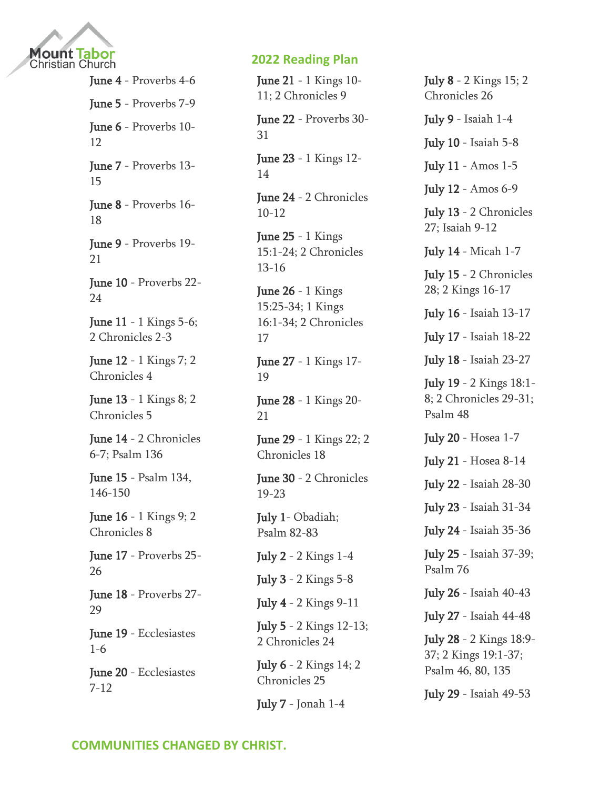

June 4 - [Proverbs 4-6](https://www.biblestudytools.com/passage/?q=Proverbs+4:1-27;+Proverbs+5:1-23;+Proverbs+6:1-35) June 5 - [Proverbs 7-9](https://www.biblestudytools.com/passage/?q=Proverbs+7:1-27;+Proverbs+8:1-36;+Proverbs+9:1-18) June 6 - [Proverbs 10-](https://www.biblestudytools.com/passage/?q=Proverbs+10:1-32;+Proverbs+11:1-31;+Proverbs+12:1-28) [12](https://www.biblestudytools.com/passage/?q=Proverbs+10:1-32;+Proverbs+11:1-31;+Proverbs+12:1-28) June 7 - [Proverbs 13-](https://www.biblestudytools.com/passage/?q=Proverbs+13:1-25;+Proverbs+14:1-35;+Proverbs+15:1-33) [15](https://www.biblestudytools.com/passage/?q=Proverbs+13:1-25;+Proverbs+14:1-35;+Proverbs+15:1-33) June 8 - [Proverbs 16-](https://www.biblestudytools.com/passage/?q=Proverbs+16:1-33;+Proverbs+17:1-28;+Proverbs+18:1-24) [18](https://www.biblestudytools.com/passage/?q=Proverbs+16:1-33;+Proverbs+17:1-28;+Proverbs+18:1-24) June 9 - [Proverbs 19-](https://www.biblestudytools.com/passage/?q=Proverbs+19:1-29;+Proverbs+20:1-30;+Proverbs+21:1-31) [21](https://www.biblestudytools.com/passage/?q=Proverbs+19:1-29;+Proverbs+20:1-30;+Proverbs+21:1-31) June 10 - [Proverbs 22-](https://www.biblestudytools.com/passage/?q=Proverbs+22:1-29;+Proverbs+23:1-35;+Proverbs+24:1-34) [24](https://www.biblestudytools.com/passage/?q=Proverbs+22:1-29;+Proverbs+23:1-35;+Proverbs+24:1-34) **June 11** - 1 Kings 5-6; [2 Chronicles 2-3](https://www.biblestudytools.com/passage/?q=1+Kings+5:1-18;+1+Kings+6:1-38;+2+Chronicles+2:1-18;+2+Chronicles+3:1-17) June 12 - [1 Kings 7; 2](https://www.biblestudytools.com/passage/?q=1+Kings+7:1-51;+2+Chronicles+4:1-22)  [Chronicles 4](https://www.biblestudytools.com/passage/?q=1+Kings+7:1-51;+2+Chronicles+4:1-22) June 13 - [1 Kings 8; 2](https://www.biblestudytools.com/passage/?q=1+Kings+8:1-66;+2+Chronicles+5:1-14)  [Chronicles 5](https://www.biblestudytools.com/passage/?q=1+Kings+8:1-66;+2+Chronicles+5:1-14) June 14 - 2 Chronicles [6-7; Psalm 136](https://www.biblestudytools.com/passage/?q=2+Chronicles+6:1-42;+2+Chronicles+7:1-22;+Psalms+136:1-26) June 15 - [Psalm 134,](https://www.biblestudytools.com/passage/?q=Psalms+134:1-21;+Psalms+146:1-11;+Psalms+147:1-20;+Psalms+148:1-14;+Psalms+149:1-9;+Psalms+150:1-6)  [146-150](https://www.biblestudytools.com/passage/?q=Psalms+134:1-21;+Psalms+146:1-11;+Psalms+147:1-20;+Psalms+148:1-14;+Psalms+149:1-9;+Psalms+150:1-6) June 16 - [1 Kings 9; 2](https://www.biblestudytools.com/passage/?q=1+Kings+9:1-28;+2+Chronicles+8:1-18)  [Chronicles 8](https://www.biblestudytools.com/passage/?q=1+Kings+9:1-28;+2+Chronicles+8:1-18) June 17 - [Proverbs 25-](https://www.biblestudytools.com/passage/?q=Proverbs+25:1-28;+Proverbs+26:1-28) [26](https://www.biblestudytools.com/passage/?q=Proverbs+25:1-28;+Proverbs+26:1-28) June 18 - [Proverbs 27-](https://www.biblestudytools.com/passage/?q=Proverbs+27:1-27;+Proverbs+28:1-28;+Proverbs+29:1-27) [29](https://www.biblestudytools.com/passage/?q=Proverbs+27:1-27;+Proverbs+28:1-28;+Proverbs+29:1-27) June 19 - [Ecclesiastes](https://www.biblestudytools.com/passage/?q=Ecclesiastes+1:1-18;+Ecclesiastes+2:1-26;+Ecclesiastes+3:1-22;+Ecclesiastes+4:1-17;+Ecclesiastes+5:1-20;+Ecclesiastes+6:1-12)  [1-6](https://www.biblestudytools.com/passage/?q=Ecclesiastes+1:1-18;+Ecclesiastes+2:1-26;+Ecclesiastes+3:1-22;+Ecclesiastes+4:1-17;+Ecclesiastes+5:1-20;+Ecclesiastes+6:1-12) June 20 - [Ecclesiastes](https://www.biblestudytools.com/passage/?q=Ecclesiastes+7:1-30;+Ecclesiastes+8:1-17;+Ecclesiastes+9:1-18;+Ecclesiastes+10:1-20;+Ecclesiastes+11:1-10;+Ecclesiastes+12:1-16)  [7-12](https://www.biblestudytools.com/passage/?q=Ecclesiastes+7:1-30;+Ecclesiastes+8:1-17;+Ecclesiastes+9:1-18;+Ecclesiastes+10:1-20;+Ecclesiastes+11:1-10;+Ecclesiastes+12:1-16)

# **2022 Reading Plan**

**June 21** - [1 Kings 10-](https://www.biblestudytools.com/passage/?q=1+Kings+10:1-29;+1+Kings+11:1-43;+2+Chronicles+9:1-31) [11; 2 Chronicles 9](https://www.biblestudytools.com/passage/?q=1+Kings+10:1-29;+1+Kings+11:1-43;+2+Chronicles+9:1-31)

June 22 - [Proverbs 30-](https://www.biblestudytools.com/passage/?q=Proverbs+30:1-33;+Proverbs+31:1-31) [31](https://www.biblestudytools.com/passage/?q=Proverbs+30:1-33;+Proverbs+31:1-31)

June 23 - [1 Kings 12-](https://www.biblestudytools.com/passage/?q=1+Kings+12:1-33;+1+Kings+13:1-34;+1+Kings+14:1-31) [14](https://www.biblestudytools.com/passage/?q=1+Kings+12:1-33;+1+Kings+13:1-34;+1+Kings+14:1-31)

June 24 - [2 Chronicles](https://www.biblestudytools.com/passage/?q=2+Chronicles+10:1-19;+2+Chronicles+11:1-23;+2+Chronicles+12:1-16)  [10-12](https://www.biblestudytools.com/passage/?q=2+Chronicles+10:1-19;+2+Chronicles+11:1-23;+2+Chronicles+12:1-16)

June  $25 - 1$  Kings [15:1-24; 2 Chronicles](https://www.biblestudytools.com/passage/?q=1+Kings+15:1-24;+2+Chronicles+13:1-22;+2+Chronicles+14:1-15;+2+Chronicles+15:1-19;+2+Chronicles+16:1-14)  [13-16](https://www.biblestudytools.com/passage/?q=1+Kings+15:1-24;+2+Chronicles+13:1-22;+2+Chronicles+14:1-15;+2+Chronicles+15:1-19;+2+Chronicles+16:1-14)

**June 26** - 1 Kings [15:25-34; 1 Kings](https://www.biblestudytools.com/passage/?q=1+Kings+15:25-34;+1+Kings+16:1-34;+2+Chronicles+17:1-19)  [16:1-34; 2 Chronicles](https://www.biblestudytools.com/passage/?q=1+Kings+15:25-34;+1+Kings+16:1-34;+2+Chronicles+17:1-19)  [17](https://www.biblestudytools.com/passage/?q=1+Kings+15:25-34;+1+Kings+16:1-34;+2+Chronicles+17:1-19)

June 27 - [1 Kings 17-](https://www.biblestudytools.com/passage/?q=1+Kings+17:1-24;+1+Kings+18:1-46;+1+Kings+19:1-21) [19](https://www.biblestudytools.com/passage/?q=1+Kings+17:1-24;+1+Kings+18:1-46;+1+Kings+19:1-21)

June 28 - [1 Kings 20-](https://www.biblestudytools.com/passage/?q=1+Kings+20:1-43;+1+Kings+21:1-29) [21](https://www.biblestudytools.com/passage/?q=1+Kings+20:1-43;+1+Kings+21:1-29)

June 29 - [1 Kings 22; 2](https://www.biblestudytools.com/passage/?q=1+Kings+22:1-54;+2+Chronicles+18:1-34)  [Chronicles 18](https://www.biblestudytools.com/passage/?q=1+Kings+22:1-54;+2+Chronicles+18:1-34)

June 30 - [2 Chronicles](https://www.biblestudytools.com/passage/?q=2+Chronicles+19:1-11;+2+Chronicles+20:1-37;+2+Chronicles+21:1-20;+2+Chronicles+22:1-12;+2+Chronicles+23:1-21)  [19-23](https://www.biblestudytools.com/passage/?q=2+Chronicles+19:1-11;+2+Chronicles+20:1-37;+2+Chronicles+21:1-20;+2+Chronicles+22:1-12;+2+Chronicles+23:1-21)

July 1- Obadiah; [Psalm 82-83](https://www.biblestudytools.com/passage/?q=Obadiah+1:1-21;+Psalms+82:1-19;+Psalms+83:1-19)

July 2 - [2 Kings 1-4](https://www.biblestudytools.com/passage/?q=2+Kings+1:1-18;+2+Kings+2:1-25;+2+Kings+3:1-27;+2+Kings+4:1-44)

July 3 - [2 Kings 5-8](https://www.biblestudytools.com/passage/?q=2+Kings+5:1-27;+2+Kings+6:1-33;+2+Kings+7:1-20;+2+Kings+8:1-29)

July 4 - [2 Kings 9-11](https://www.biblestudytools.com/passage/?q=2+Kings+9:1-37;+2+Kings+10:1-36;+2+Kings+11:1-21)

July 5 - [2 Kings 12-13;](https://www.biblestudytools.com/passage/?q=2+Kings+12:1-21;+2+Kings+13:1-25;+2+Chronicles+24:1-27)  [2 Chronicles 24](https://www.biblestudytools.com/passage/?q=2+Kings+12:1-21;+2+Kings+13:1-25;+2+Chronicles+24:1-27)

July 6 - [2 Kings 14; 2](https://www.biblestudytools.com/passage/?q=2+Kings+14:1-29;+2+Chronicles+25:1-28)  [Chronicles 25](https://www.biblestudytools.com/passage/?q=2+Kings+14:1-29;+2+Chronicles+25:1-28)

July 7 - [Jonah 1-4](https://www.biblestudytools.com/passage/?q=Jonah+1:1-17;+Jonah+2:1-11;+Jonah+3:1-10;+Jonah+4:1-11)

July 8 - [2 Kings 15; 2](https://www.biblestudytools.com/passage/?q=2+Kings+15:1-38;+2+Chronicles+26:1-23)  [Chronicles 26](https://www.biblestudytools.com/passage/?q=2+Kings+15:1-38;+2+Chronicles+26:1-23)

July 9 - [Isaiah 1-4](https://www.biblestudytools.com/passage/?q=Isaiah+1:1-31;+Isaiah+2:1-22;+Isaiah+3:1-26;+Isaiah+4:1-6)

July 10 - [Isaiah 5-8](https://www.biblestudytools.com/passage/?q=Isaiah+5:1-30;+Isaiah+6:1-13;+Isaiah+7:1-25;+Isaiah+8:1-23)

July 11 - [Amos 1-5](https://www.biblestudytools.com/passage/?q=Amos+1:1-15;+Amos+2:1-16;+Amos+3:1-15;+Amos+4:1-13;+Amos+5:1-27)

July 12 - [Amos 6-9](https://www.biblestudytools.com/passage/?q=Amos+6:1-15;+Amos+7:1-114;+Amos+8:1-14;+Amos+9:1-15)

July 13 - [2 Chronicles](https://www.biblestudytools.com/passage/?q=2+Chronicles+27:1-9;+Isaiah+9:1-21;+Isaiah+10:1-34;+Isaiah+11:1-16;+Isaiah+12:1-6)  [27; Isaiah 9-12](https://www.biblestudytools.com/passage/?q=2+Chronicles+27:1-9;+Isaiah+9:1-21;+Isaiah+10:1-34;+Isaiah+11:1-16;+Isaiah+12:1-6)

July 14 - [Micah 1-7](https://www.biblestudytools.com/passage/?q=Micah+1:1-16;+Micah+2:1-13;+Micah+3:1-12;+Micah+4:1-13;+Micah+5:1-15;+Micah+6:1-16;+Micah+7:1-20)

July 15 - [2 Chronicles](https://www.biblestudytools.com/passage/?q=2+Chronicles+28:1-27;+2+Kings+16:1-20;+2+Kings+17:1-41)  [28; 2 Kings 16-17](https://www.biblestudytools.com/passage/?q=2+Chronicles+28:1-27;+2+Kings+16:1-20;+2+Kings+17:1-41)

July 16 - [Isaiah 13-17](https://www.biblestudytools.com/passage/?q=Isaiah+13:1-22;+Isaiah+14:1-32;+Isaiah+15:1-9;+Isaiah+16:1-14;+Isaiah+17:1-14)

July 17 - [Isaiah 18-22](https://www.biblestudytools.com/passage/?q=Isaiah+18:1-7;+Isaiah+19:1-25;+Isaiah+20:1-6;+Isaiah+21:1-17;+Isaiah+22:1-25)

July 18 - [Isaiah 23-27](https://www.biblestudytools.com/passage/?q=Isaiah+23:1-18;+Isaiah+24:1-23;+Isaiah+25:1-12;+Isaiah+26:1-21;+Isaiah+27:1-13)

July 19 - [2 Kings 18:1-](https://www.biblestudytools.com/passage/?q=2+Kings+18:1-8;+2+Chronicles+29:1-36;+2+Chronicles+30:1-27;+2+Chronicles+31:1-21;+Psalms+48:1-21) [8; 2 Chronicles 29-31;](https://www.biblestudytools.com/passage/?q=2+Kings+18:1-8;+2+Chronicles+29:1-36;+2+Chronicles+30:1-27;+2+Chronicles+31:1-21;+Psalms+48:1-21)  [Psalm 48](https://www.biblestudytools.com/passage/?q=2+Kings+18:1-8;+2+Chronicles+29:1-36;+2+Chronicles+30:1-27;+2+Chronicles+31:1-21;+Psalms+48:1-21)

July 20 - [Hosea 1-7](https://www.biblestudytools.com/passage/?q=Hosea+1:1-11;+Hosea+2:1-24;+Hosea+3:1-5;+Hosea+4:1-19;+Hosea+5:1-15;+Hosea+6:1-11;+Hosea+7:1-16)

July 21 - [Hosea 8-14](https://www.biblestudytools.com/passage/?q=Hosea+8:1-14;+Hosea+9:1-17;+Hosea+10:1-15;+Hosea+11:1-12;+Hosea+12:1-15;+Hosea+13:1-16;+Hosea+14:1-10)

July 22 - [Isaiah 28-30](https://www.biblestudytools.com/passage/?q=Isaiah+28:1-29;+Isaiah+29:1-24;+Isaiah+30:1-33)

July 23 - [Isaiah 31-34](https://www.biblestudytools.com/passage/?q=Isaiah+31:1-45;+Isaiah+32:1-20;+Isaiah+33:1-24;+Isaiah+34:1-17)

July 24 - [Isaiah 35-36](https://www.biblestudytools.com/passage/?q=Isaiah+35:1-10;+Isaiah+36:1-22)

July 25 - Isaiah [37-39;](https://www.biblestudytools.com/passage/?q=Isaiah+37:1-38;+Isaiah+38:1-22;+Isaiah+39:1-8;+Psalms+76:1-21)  [Psalm 76](https://www.biblestudytools.com/passage/?q=Isaiah+37:1-38;+Isaiah+38:1-22;+Isaiah+39:1-8;+Psalms+76:1-21)

July 26 - [Isaiah 40-43](https://www.biblestudytools.com/passage/?q=Isaiah+40:1-31;+Isaiah+41:1-29;+Isaiah+42:1-25;+Isaiah+43:1-28)

July 27 - [Isaiah 44-48](https://www.biblestudytools.com/passage/?q=Isaiah+44:1-28;+Isaiah+45:1-25;+Isaiah+46:1-13;+Isaiah+47:1-15;+Isaiah+48:1-22)

July 28 - [2 Kings 18:9-](https://www.biblestudytools.com/passage/?q=2+Kings+18:9-37;+2+Kings+19:1-37;+Psalms+46:1-12;+Psalms+80:1-20;+Psalms+135:1-26) [37; 2 Kings 19:1-37;](https://www.biblestudytools.com/passage/?q=2+Kings+18:9-37;+2+Kings+19:1-37;+Psalms+46:1-12;+Psalms+80:1-20;+Psalms+135:1-26)  [Psalm 46, 80, 135](https://www.biblestudytools.com/passage/?q=2+Kings+18:9-37;+2+Kings+19:1-37;+Psalms+46:1-12;+Psalms+80:1-20;+Psalms+135:1-26)

July 29 - [Isaiah 49-53](https://www.biblestudytools.com/passage/?q=Isaiah+49:1-26;+Isaiah+50:1-11;+Isaiah+51:1-23;+Isaiah+52:1-15;+Isaiah+53:1-12)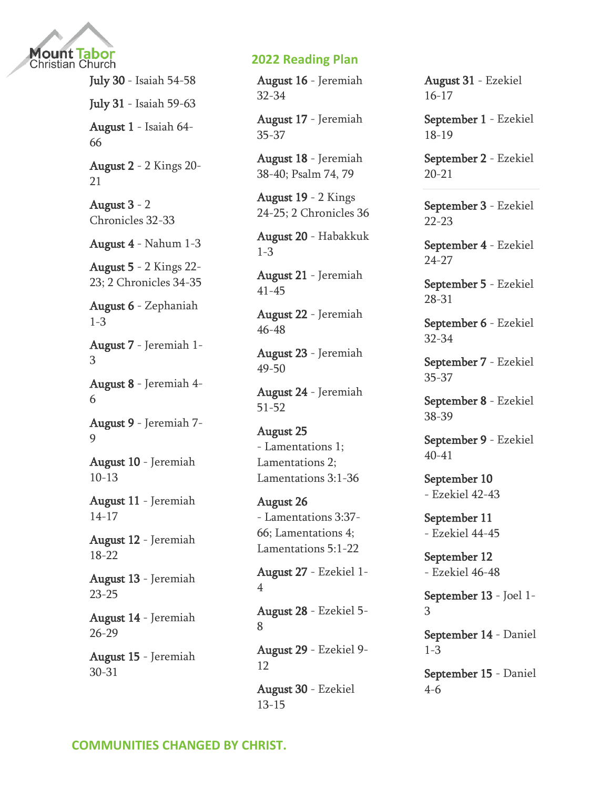

July 30 - [Isaiah 54-58](https://www.biblestudytools.com/passage/?q=Isaiah+54:1-17;+Isaiah+55:1-13;+Isaiah+56:1-12;+Isaiah+57:1-21;+Isaiah+58:1-14) July 31 - [Isaiah 59-63](https://www.biblestudytools.com/passage/?q=Isaiah+59:1-21;+Isaiah+60:1-22;+Isaiah+61:1-11;+Isaiah+62:1-12;+Isaiah+63:1-19) August 1 - [Isaiah 64-](https://www.biblestudytools.com/passage/?q=Isaiah+64:1-12;+Isaiah+65:1-25;+Isaiah+66:1-24) [66](https://www.biblestudytools.com/passage/?q=Isaiah+64:1-12;+Isaiah+65:1-25;+Isaiah+66:1-24) August 2 - [2 Kings 20-](https://www.biblestudytools.com/passage/?q=2+Kings+20:1-21;+2+Kings+21:1-26) [21](https://www.biblestudytools.com/passage/?q=2+Kings+20:1-21;+2+Kings+21:1-26) August 3 - [2](https://www.biblestudytools.com/passage/?q=2+Chronicles+32:1-33;+2+Chronicles+33:1-25)  [Chronicles 32-33](https://www.biblestudytools.com/passage/?q=2+Chronicles+32:1-33;+2+Chronicles+33:1-25) August 4 - [Nahum 1-3](https://www.biblestudytools.com/passage/?q=Nahum+1:1-15;+Nahum+2:1-13;+Nahum+3:1-19) August 5 - [2 Kings 22-](https://www.biblestudytools.com/passage/?q=2+Kings+22:1-20;+2+Kings+23:1-37;+2+Chronicles+34:1-33;+2+Chronicles+35:1-27) [23; 2 Chronicles 34-35](https://www.biblestudytools.com/passage/?q=2+Kings+22:1-20;+2+Kings+23:1-37;+2+Chronicles+34:1-33;+2+Chronicles+35:1-27) August 6 - [Zephaniah](https://www.biblestudytools.com/passage/?q=Zephaniah+1:1-18;+Zephaniah+2:1-15;+Zephaniah+3:1-20)  [1-3](https://www.biblestudytools.com/passage/?q=Zephaniah+1:1-18;+Zephaniah+2:1-15;+Zephaniah+3:1-20) August 7 - [Jeremiah 1-](https://www.biblestudytools.com/passage/?q=Jeremiah+1:1-19;+Jeremiah+2:1-37;+Jeremiah+3:1-25) [3](https://www.biblestudytools.com/passage/?q=Jeremiah+1:1-19;+Jeremiah+2:1-37;+Jeremiah+3:1-25) August 8 - [Jeremiah 4-](https://www.biblestudytools.com/passage/?q=Jeremiah+4:1-31;+Jeremiah+5:1-31;+Jeremiah+6:1-30) [6](https://www.biblestudytools.com/passage/?q=Jeremiah+4:1-31;+Jeremiah+5:1-31;+Jeremiah+6:1-30) August 9 - [Jeremiah 7-](https://www.biblestudytools.com/passage/?q=Jeremiah+7:1-34;+Jeremiah+8:1-22;+Jeremiah+9:1-26) [9](https://www.biblestudytools.com/passage/?q=Jeremiah+7:1-34;+Jeremiah+8:1-22;+Jeremiah+9:1-26) August 10 - [Jeremiah](https://www.biblestudytools.com/passage/?q=Jeremiah+10:1-25;+Jeremiah+11:1-23;+Jeremiah+12:1-17;+Jeremiah+13:1-27)  [10-13](https://www.biblestudytools.com/passage/?q=Jeremiah+10:1-25;+Jeremiah+11:1-23;+Jeremiah+12:1-17;+Jeremiah+13:1-27) August 11 - [Jeremiah](https://www.biblestudytools.com/passage/?q=Jeremiah+14:1-22;+Jeremiah+15:1-21;+Jeremiah+16:1-21;+Jeremiah+17:1-27)  [14-17](https://www.biblestudytools.com/passage/?q=Jeremiah+14:1-22;+Jeremiah+15:1-21;+Jeremiah+16:1-21;+Jeremiah+17:1-27) August 12 - [Jeremiah](https://www.biblestudytools.com/passage/?q=Jeremiah+18:1-23;+Jeremiah+19:1-15;+Jeremiah+20:1-18;+Jeremiah+21:1-14;+Jeremiah+22:1-30)  [18-22](https://www.biblestudytools.com/passage/?q=Jeremiah+18:1-23;+Jeremiah+19:1-15;+Jeremiah+20:1-18;+Jeremiah+21:1-14;+Jeremiah+22:1-30) August 13 - [Jeremiah](https://www.biblestudytools.com/passage/?q=Jeremiah+23:1-40;+Jeremiah+24:1-10;+Jeremiah+25:1-38)  [23-25](https://www.biblestudytools.com/passage/?q=Jeremiah+23:1-40;+Jeremiah+24:1-10;+Jeremiah+25:1-38) August 14 - [Jeremiah](https://www.biblestudytools.com/passage/?q=Jeremiah+26:1-24;+Jeremiah+27:1-22;+Jeremiah+28:1-17;+Jeremiah+29:1-32)  [26-29](https://www.biblestudytools.com/passage/?q=Jeremiah+26:1-24;+Jeremiah+27:1-22;+Jeremiah+28:1-17;+Jeremiah+29:1-32) August 15 - [Jeremiah](https://www.biblestudytools.com/passage/?q=Jeremiah+30:1-24;+Jeremiah+31:1-40)  [30-31](https://www.biblestudytools.com/passage/?q=Jeremiah+30:1-24;+Jeremiah+31:1-40)

### **2022 Reading Plan**

August 16 - [Jeremiah](https://www.biblestudytools.com/passage/?q=Jeremiah+32:1-44;+Jeremiah+33:1-26;+Jeremiah+34:1-22)  [32-34](https://www.biblestudytools.com/passage/?q=Jeremiah+32:1-44;+Jeremiah+33:1-26;+Jeremiah+34:1-22)

August 17 - [Jeremiah](https://www.biblestudytools.com/passage/?q=Jeremiah+35:1-19;+Jeremiah+36:1-32;+Jeremiah+37:1-21)  [35-37](https://www.biblestudytools.com/passage/?q=Jeremiah+35:1-19;+Jeremiah+36:1-32;+Jeremiah+37:1-21)

August 18 - [Jeremiah](https://www.biblestudytools.com/passage/?q=Jeremiah+38:1-28;+Jeremiah+39:1-18;+Jeremiah+40:1-16;+Psalms+74:1-23;+Psalms+79:1-20)  [38-40; Psalm 74, 79](https://www.biblestudytools.com/passage/?q=Jeremiah+38:1-28;+Jeremiah+39:1-18;+Jeremiah+40:1-16;+Psalms+74:1-23;+Psalms+79:1-20)

August 19 - [2 Kings](https://www.biblestudytools.com/passage/?q=2+Kings+24:1-20;+2+Kings+25:1-30;+2+Chronicles+36:1-23)  [24-25; 2 Chronicles 36](https://www.biblestudytools.com/passage/?q=2+Kings+24:1-20;+2+Kings+25:1-30;+2+Chronicles+36:1-23)

August 20 - [Habakkuk](https://www.biblestudytools.com/passage/?q=Habakkuk+1:1-17;+Habakkuk+2:1-20;+Habakkuk+3:1-19)  [1-3](https://www.biblestudytools.com/passage/?q=Habakkuk+1:1-17;+Habakkuk+2:1-20;+Habakkuk+3:1-19)

August 21 - [Jeremiah](https://www.biblestudytools.com/passage/?q=Jeremiah+41:1-18;+Jeremiah+42:1-22;+Jeremiah+43:1-13;+Jeremiah+44:1-30;+Jeremiah+45:1-5)  [41-45](https://www.biblestudytools.com/passage/?q=Jeremiah+41:1-18;+Jeremiah+42:1-22;+Jeremiah+43:1-13;+Jeremiah+44:1-30;+Jeremiah+45:1-5)

August 22 - [Jeremiah](https://www.biblestudytools.com/passage/?q=Jeremiah+46:1-28;+Jeremiah+47:1-7;+Jeremiah+48:1-47)  [46-48](https://www.biblestudytools.com/passage/?q=Jeremiah+46:1-28;+Jeremiah+47:1-7;+Jeremiah+48:1-47)

August 23 - [Jeremiah](https://www.biblestudytools.com/passage/?q=Jeremiah+49:1-39;+Jeremiah+50:1-46)  [49-50](https://www.biblestudytools.com/passage/?q=Jeremiah+49:1-39;+Jeremiah+50:1-46)

August 24 - [Jeremiah](https://www.biblestudytools.com/passage/?q=Jeremiah+51:1-64;+Jeremiah+52:1-745)  [51-52](https://www.biblestudytools.com/passage/?q=Jeremiah+51:1-64;+Jeremiah+52:1-745)

August 25 - [Lamentations](https://www.biblestudytools.com/passage/?q=Lamentations+1:1-22;+Lamentations+2:1-22;+Lamentations+3:1-36) 1; [Lamentations 2;](https://www.biblestudytools.com/passage/?q=Lamentations+1:1-22;+Lamentations+2:1-22;+Lamentations+3:1-36)  [Lamentations 3:1-36](https://www.biblestudytools.com/passage/?q=Lamentations+1:1-22;+Lamentations+2:1-22;+Lamentations+3:1-36)

August 26 - [Lamentations 3:37-](https://www.biblestudytools.com/passage/?q=Lamentations+3:37-66;+Lamentations+4:1-22;+Lamentations+5:1-22) [66; Lamentations 4;](https://www.biblestudytools.com/passage/?q=Lamentations+3:37-66;+Lamentations+4:1-22;+Lamentations+5:1-22)  [Lamentations 5:1-22](https://www.biblestudytools.com/passage/?q=Lamentations+3:37-66;+Lamentations+4:1-22;+Lamentations+5:1-22)

August 27 - [Ezekiel 1-](https://www.biblestudytools.com/passage/?q=Ezekiel+1:1-28;+Ezekiel+2:1-10;+Ezekiel+3:1-27;+Ezekiel+4:1-17) [4](https://www.biblestudytools.com/passage/?q=Ezekiel+1:1-28;+Ezekiel+2:1-10;+Ezekiel+3:1-27;+Ezekiel+4:1-17)

August 28 - [Ezekiel 5-](https://www.biblestudytools.com/passage/?q=Ezekiel+5:1-17;+Ezekiel+6:1-14;+Ezekiel+7:1-27;+Ezekiel+8:1-18) [8](https://www.biblestudytools.com/passage/?q=Ezekiel+5:1-17;+Ezekiel+6:1-14;+Ezekiel+7:1-27;+Ezekiel+8:1-18)

August 29 - [Ezekiel 9-](https://www.biblestudytools.com/passage/?q=Ezekiel+9:1-11;+Ezekiel+10:1-22;+Ezekiel+11:1-25;+Ezekiel+12:1-28) [12](https://www.biblestudytools.com/passage/?q=Ezekiel+9:1-11;+Ezekiel+10:1-22;+Ezekiel+11:1-25;+Ezekiel+12:1-28)

August 30 - [Ezekiel](https://www.biblestudytools.com/passage/?q=Ezekiel+13:1-23;+Ezekiel+14:1-23;+Ezekiel+15:1-8)  [13-15](https://www.biblestudytools.com/passage/?q=Ezekiel+13:1-23;+Ezekiel+14:1-23;+Ezekiel+15:1-8)

August 31 - [Ezekiel](https://www.biblestudytools.com/passage/?q=Ezekiel+16:1-63;+Ezekiel+17:1-24)  [16-17](https://www.biblestudytools.com/passage/?q=Ezekiel+16:1-63;+Ezekiel+17:1-24)

September 1 - [Ezekiel](https://www.biblestudytools.com/passage/?q=Ezekiel+18:1-32;+Ezekiel+19:1-14)  [18-19](https://www.biblestudytools.com/passage/?q=Ezekiel+18:1-32;+Ezekiel+19:1-14)

September 2 - [Ezekiel](https://www.biblestudytools.com/passage/?q=Ezekiel+20:1-49;+Ezekiel+21:1-37)  [20-21](https://www.biblestudytools.com/passage/?q=Ezekiel+20:1-49;+Ezekiel+21:1-37)

September 3 - [Ezekiel](https://www.biblestudytools.com/passage/?q=Ezekiel+22:1-31;+Ezekiel+23:1-49)  [22-23](https://www.biblestudytools.com/passage/?q=Ezekiel+22:1-31;+Ezekiel+23:1-49)

September 4 - [Ezekiel](https://www.biblestudytools.com/passage/?q=Ezekiel+24:1-27;+Ezekiel+25:1-17;+Ezekiel+26:1-21;+Ezekiel+27:1-36)  [24-27](https://www.biblestudytools.com/passage/?q=Ezekiel+24:1-27;+Ezekiel+25:1-17;+Ezekiel+26:1-21;+Ezekiel+27:1-36)

September 5 - [Ezekiel](https://www.biblestudytools.com/passage/?q=Ezekiel+28:1-26;+Ezekiel+29:1-21;+Ezekiel+30:1-26;+Ezekiel+31:1-18)  [28-31](https://www.biblestudytools.com/passage/?q=Ezekiel+28:1-26;+Ezekiel+29:1-21;+Ezekiel+30:1-26;+Ezekiel+31:1-18)

September 6 - [Ezekiel](https://www.biblestudytools.com/passage/?q=Ezekiel+32:1-32;+Ezekiel+33:1-46;+Ezekiel+34:1-48)  [32-34](https://www.biblestudytools.com/passage/?q=Ezekiel+32:1-32;+Ezekiel+33:1-46;+Ezekiel+34:1-48)

September 7 - [Ezekiel](https://www.biblestudytools.com/passage/?q=Ezekiel+35:1-15;+Ezekiel+36:1-38;+Ezekiel+37:1-28)  [35-37](https://www.biblestudytools.com/passage/?q=Ezekiel+35:1-15;+Ezekiel+36:1-38;+Ezekiel+37:1-28)

September 8 - [Ezekiel](https://www.biblestudytools.com/passage/?q=Ezekiel+38:1-23;+Ezekiel+39:1-29)  [38-39](https://www.biblestudytools.com/passage/?q=Ezekiel+38:1-23;+Ezekiel+39:1-29)

September 9 - [Ezekiel](https://www.biblestudytools.com/passage/?q=Ezekiel+40:1-49;+Ezekiel+41:1-26)  [40-41](https://www.biblestudytools.com/passage/?q=Ezekiel+40:1-49;+Ezekiel+41:1-26)

September 10 - [Ezekiel 42-43](https://www.biblestudytools.com/passage/?q=Ezekiel+42:1-20;+Ezekiel+43:1-27)

September 11 - [Ezekiel 44-45](https://www.biblestudytools.com/passage/?q=Ezekiel+44:1-31;+Ezekiel+45:1-25)

September 12 - [Ezekiel 46-48](https://www.biblestudytools.com/passage/?q=Ezekiel+46:1-24;+Ezekiel+47:1-23;+Ezekiel+48:1-35)

September 13 - [Joel 1-](https://www.biblestudytools.com/passage/?q=Joel+1:1-20;+Joel+2:1-32;+Joel+3:1-21) [3](https://www.biblestudytools.com/passage/?q=Joel+1:1-20;+Joel+2:1-32;+Joel+3:1-21)

September 14 - [Daniel](https://www.biblestudytools.com/passage/?q=Daniel+1:1-21;+Daniel+2:1-49;+Daniel+3:1-34)  [1-3](https://www.biblestudytools.com/passage/?q=Daniel+1:1-21;+Daniel+2:1-49;+Daniel+3:1-34)

September 15 - [Daniel](https://www.biblestudytools.com/passage/?q=Daniel+4:1-37;+Daniel+5:1-31;+Daniel+6:1-28)  [4-6](https://www.biblestudytools.com/passage/?q=Daniel+4:1-37;+Daniel+5:1-31;+Daniel+6:1-28)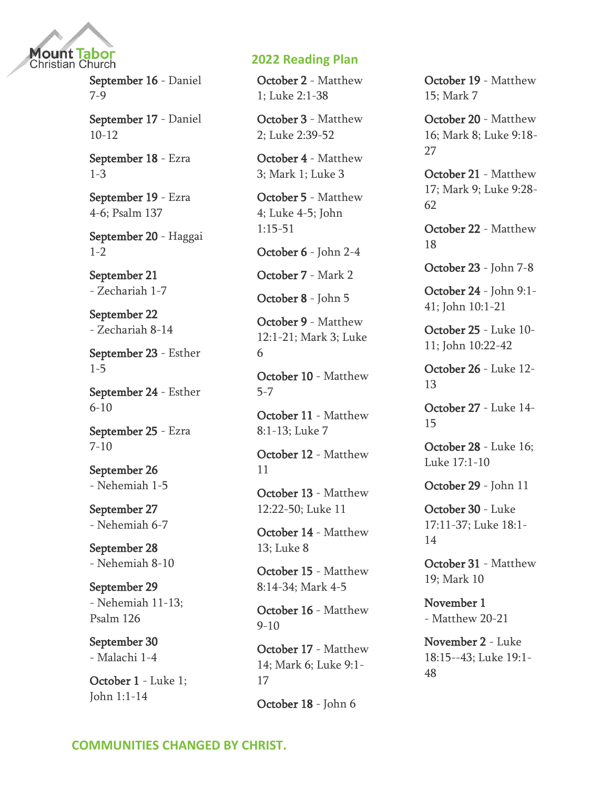

September 16 - [Daniel](https://www.biblestudytools.com/passage/?q=Daniel+7:1-28;+Daniel+8:1-27;+Daniel+9:1-27)  [7-9](https://www.biblestudytools.com/passage/?q=Daniel+7:1-28;+Daniel+8:1-27;+Daniel+9:1-27)

September 17 - [Daniel](https://www.biblestudytools.com/passage/?q=Daniel+10:1-21;+Daniel+11:1-45;+Daniel+12:1-13)  [10-12](https://www.biblestudytools.com/passage/?q=Daniel+10:1-21;+Daniel+11:1-45;+Daniel+12:1-13)

September 18 - [Ezra](https://www.biblestudytools.com/passage/?q=Ezra+1:1-11;+Ezra+2:1-70;+Ezra+3:1-13)  [1-3](https://www.biblestudytools.com/passage/?q=Ezra+1:1-11;+Ezra+2:1-70;+Ezra+3:1-13)

September 19 - [Ezra](https://www.biblestudytools.com/passage/?q=Ezra+4:1-24;+Ezra+5:1-17;+Ezra+6:1-22;+Psalms+137:1-9)  [4-6; Psalm 137](https://www.biblestudytools.com/passage/?q=Ezra+4:1-24;+Ezra+5:1-17;+Ezra+6:1-22;+Psalms+137:1-9)

September 20 - [Haggai](https://www.biblestudytools.com/passage/?q=Haggai+1:1-15;+Haggai+2:1-24)  [1-2](https://www.biblestudytools.com/passage/?q=Haggai+1:1-15;+Haggai+2:1-24)

September 21 - [Zechariah 1-7](https://www.biblestudytools.com/passage/?q=Zechariah+1:1-21;+Zechariah+2:1-13;+Zechariah+3:1-10;+Zechariah+4:1-14;+Zechariah+5:1-11;+Zechariah+6:1-15;+Zechariah+7:1-14)

September 22 - [Zechariah 8-14](https://www.biblestudytools.com/passage/?q=Zechariah+8:1-23;+Zechariah+9:1-17;+Zechariah+10:1-12;+Zechariah+11:1-114;+Zechariah+12:1-14;+Zechariah+13:1-9;+Zechariah+14:1-21)

September 23 - [Esther](https://www.biblestudytools.com/passage/?q=Esther+1:1-22;+Esther+2:1-23;+Esther+3:1-15;+Esther+4:1-17;+Esther+5:1-14)  [1-5](https://www.biblestudytools.com/passage/?q=Esther+1:1-22;+Esther+2:1-23;+Esther+3:1-15;+Esther+4:1-17;+Esther+5:1-14)

September 24 - [Esther](https://www.biblestudytools.com/passage/?q=Esther+6:1-14;+Esther+7:1-10;+Esther+8:1-17;+Esther+9:1-32;+Esther+10:1-3)  [6-10](https://www.biblestudytools.com/passage/?q=Esther+6:1-14;+Esther+7:1-10;+Esther+8:1-17;+Esther+9:1-32;+Esther+10:1-3)

September 25 - [Ezra](https://www.biblestudytools.com/passage/?q=Ezra+7:1-28;+Ezra+8:1-36;+Ezra+9:1-15;+Ezra+10:1-44)  [7-10](https://www.biblestudytools.com/passage/?q=Ezra+7:1-28;+Ezra+8:1-36;+Ezra+9:1-15;+Ezra+10:1-44)

September 26 - [Nehemiah 1-5](https://www.biblestudytools.com/passage/?q=Nehemiah+1:1-11;+Nehemiah+2:1-20;+Nehemiah+3:1-32;+Nehemiah+4:1-23;+Nehemiah+5:1-19)

September 27 - [Nehemiah 6-7](https://www.biblestudytools.com/passage/?q=Nehemiah+6:1-19;+Nehemiah+7:1-73)

September 28 - [Nehemiah 8-10](https://www.biblestudytools.com/passage/?q=Nehemiah+8:1-18;+Nehemiah+9:1-38;+Nehemiah+10:1-39)

September 29 - [Nehemiah 11-13;](https://www.biblestudytools.com/passage/?q=Nehemiah+11:1-36;+Nehemiah+12:1-47;+Nehemiah+13:1-31;+Psalms+126:1-6)  [Psalm 126](https://www.biblestudytools.com/passage/?q=Nehemiah+11:1-36;+Nehemiah+12:1-47;+Nehemiah+13:1-31;+Psalms+126:1-6)

September 30 - [Malachi 1-4](https://www.biblestudytools.com/passage/?q=Malachi+1:1-14;+Malachi+2:1-17;+Malachi+3:1-18;+Malachi+4:1-6)

October 1 - [Luke 1;](https://www.biblestudytools.com/passage/?q=Luke+1:1-80;+John+1:1-14)  [John 1:1-14](https://www.biblestudytools.com/passage/?q=Luke+1:1-80;+John+1:1-14)

## **2022 Reading Plan**

October 2 - [Matthew](https://www.biblestudytools.com/passage/?q=Matthew+1:1-25;+Luke+2:1-38)  [1; Luke 2:1-38](https://www.biblestudytools.com/passage/?q=Matthew+1:1-25;+Luke+2:1-38)

October 3 - [Matthew](https://www.biblestudytools.com/passage/?q=Matthew+2:1-23;+Luke+2:39-52)  [2; Luke 2:39-52](https://www.biblestudytools.com/passage/?q=Matthew+2:1-23;+Luke+2:39-52)

October 4 - [Matthew](https://www.biblestudytools.com/passage/?q=Matthew+3:1-17;+Mark+1:1-45;+Luke+3:1-38)  [3; Mark 1; Luke 3](https://www.biblestudytools.com/passage/?q=Matthew+3:1-17;+Mark+1:1-45;+Luke+3:1-38)

October 5 - [Matthew](https://www.biblestudytools.com/passage/?q=Matthew+4:1-25;+Luke+4:1-44;+Luke+5:1-39;+John+1:15-51)  [4; Luke 4-5; John](https://www.biblestudytools.com/passage/?q=Matthew+4:1-25;+Luke+4:1-44;+Luke+5:1-39;+John+1:15-51)  [1:15-51](https://www.biblestudytools.com/passage/?q=Matthew+4:1-25;+Luke+4:1-44;+Luke+5:1-39;+John+1:15-51)

October 6 - [John 2-4](https://www.biblestudytools.com/passage/?q=John+2:1-25;+John+3:1-36;+John+4:1-54)

October 7 - [Mark 2](https://www.biblestudytools.com/passage/?q=Mark+2:1-28)

October 8 - [John 5](https://www.biblestudytools.com/passage/?q=John+5:1-47)

October 9 - [Matthew](https://www.biblestudytools.com/passage/?q=Matthew+12:1-21;+Mark+3:1-35;+Luke+6:1-49)  [12:1-21; Mark 3; Luke](https://www.biblestudytools.com/passage/?q=Matthew+12:1-21;+Mark+3:1-35;+Luke+6:1-49)  [6](https://www.biblestudytools.com/passage/?q=Matthew+12:1-21;+Mark+3:1-35;+Luke+6:1-49)

October 10 - [Matthew](https://www.biblestudytools.com/passage/?q=Matthew+5:1-48;+Matthew+6:1-34;+Matthew+7:1-29)  [5-7](https://www.biblestudytools.com/passage/?q=Matthew+5:1-48;+Matthew+6:1-34;+Matthew+7:1-29)

October 11 - [Matthew](https://www.biblestudytools.com/passage/?q=Matthew+8:1-13;+Luke+7:1-50)  [8:1-13; Luke 7](https://www.biblestudytools.com/passage/?q=Matthew+8:1-13;+Luke+7:1-50)

October 12 - [Matthew](https://www.biblestudytools.com/passage/?q=Matthew+11:1-30)  [11](https://www.biblestudytools.com/passage/?q=Matthew+11:1-30)

October 13 - [Matthew](https://www.biblestudytools.com/passage/?q=Matthew+12:22-50;+Luke+11:1-54)  [12:22-50; Luke 11](https://www.biblestudytools.com/passage/?q=Matthew+12:22-50;+Luke+11:1-54)

October 14 - [Matthew](https://www.biblestudytools.com/passage/?q=Matthew+13:1-58;+Luke+8:1-56)  [13; Luke 8](https://www.biblestudytools.com/passage/?q=Matthew+13:1-58;+Luke+8:1-56)

October 15 - [Matthew](https://www.biblestudytools.com/passage/?q=Matthew+8:14-34;+Mark+4:1-41;+Mark+5:1-43)  [8:14-34; Mark 4-5](https://www.biblestudytools.com/passage/?q=Matthew+8:14-34;+Mark+4:1-41;+Mark+5:1-43)

October 16 - [Matthew](https://www.biblestudytools.com/passage/?q=Matthew+9:1-38;+Matthew+10:1-42)  [9-10](https://www.biblestudytools.com/passage/?q=Matthew+9:1-38;+Matthew+10:1-42)

October 17 - [Matthew](https://www.biblestudytools.com/passage/?q=Matthew+14:1-36;+Mark+6:1-56;+Luke+9:1-17)  [14; Mark 6; Luke 9:1-](https://www.biblestudytools.com/passage/?q=Matthew+14:1-36;+Mark+6:1-56;+Luke+9:1-17) [17](https://www.biblestudytools.com/passage/?q=Matthew+14:1-36;+Mark+6:1-56;+Luke+9:1-17)

October 18 - [John 6](https://www.biblestudytools.com/passage/?q=John+6:1-72)

October 19 - [Matthew](https://www.biblestudytools.com/passage/?q=Matthew+15:1-39;+Mark+7:1-37)  [15; Mark 7](https://www.biblestudytools.com/passage/?q=Matthew+15:1-39;+Mark+7:1-37)

October 20 - [Matthew](https://www.biblestudytools.com/passage/?q=Matthew+16:1-28;+Mark+8:1-39;+Luke+9:18-27)  [16; Mark 8; Luke 9:18-](https://www.biblestudytools.com/passage/?q=Matthew+16:1-28;+Mark+8:1-39;+Luke+9:18-27) [27](https://www.biblestudytools.com/passage/?q=Matthew+16:1-28;+Mark+8:1-39;+Luke+9:18-27)

October 21 - [Matthew](https://www.biblestudytools.com/passage/?q=Matthew+17:1-27;+Mark+9:1-51;+Luke+9:28-62)  [17; Mark 9; Luke 9:28-](https://www.biblestudytools.com/passage/?q=Matthew+17:1-27;+Mark+9:1-51;+Luke+9:28-62) [62](https://www.biblestudytools.com/passage/?q=Matthew+17:1-27;+Mark+9:1-51;+Luke+9:28-62)

October 22 - [Matthew](https://www.biblestudytools.com/passage/?q=Matthew+18:1-35)  [18](https://www.biblestudytools.com/passage/?q=Matthew+18:1-35)

October 23 - [John 7-8](https://www.biblestudytools.com/passage/?q=John+7:1-53;+John+8:1-59)

October 24 - [John 9:1-](https://www.biblestudytools.com/passage/?q=John+9:1-41;+John+10:1-21) [41; John 10:1-21](https://www.biblestudytools.com/passage/?q=John+9:1-41;+John+10:1-21)

October 25 - [Luke 10-](https://www.biblestudytools.com/passage/?q=Luke+10:1-42;+Luke+11:1-54;+John+10:22-42) [11; John 10:22-42](https://www.biblestudytools.com/passage/?q=Luke+10:1-42;+Luke+11:1-54;+John+10:22-42)

October 26 - [Luke 12-](https://www.biblestudytools.com/passage/?q=Luke+12:1-59;+Luke+13:1-35) [13](https://www.biblestudytools.com/passage/?q=Luke+12:1-59;+Luke+13:1-35)

October 27 - [Luke 14-](https://www.biblestudytools.com/passage/?q=Luke+14:1-35;+Luke+15:1-32) [15](https://www.biblestudytools.com/passage/?q=Luke+14:1-35;+Luke+15:1-32)

October 28 - [Luke 16;](https://www.biblestudytools.com/passage/?q=Luke+16:1-31;+Luke+17:1-10)  [Luke 17:1-10](https://www.biblestudytools.com/passage/?q=Luke+16:1-31;+Luke+17:1-10)

October 29 - [John 11](https://www.biblestudytools.com/passage/?q=John+11:1-57)

October 30 - [Luke](https://www.biblestudytools.com/passage/?q=Luke+17:11-37;+Luke+18:1-14)  [17:11-37; Luke 18:1-](https://www.biblestudytools.com/passage/?q=Luke+17:11-37;+Luke+18:1-14) [14](https://www.biblestudytools.com/passage/?q=Luke+17:11-37;+Luke+18:1-14)

October 31 - [Matthew](https://www.biblestudytools.com/passage/?q=Matthew+19:1-30;+Mark+10:1-53)  [19; Mark 10](https://www.biblestudytools.com/passage/?q=Matthew+19:1-30;+Mark+10:1-53)

November 1 - [Matthew 20-21](https://www.biblestudytools.com/passage/?q=Matthew+20:1-34;+Matthew+21:1-46)

November 2 - [Luke](https://www.biblestudytools.com/passage/?q=Luke+18:15-43;+Luke+19:1-48)  [18:15--43; Luke 19:1-](https://www.biblestudytools.com/passage/?q=Luke+18:15-43;+Luke+19:1-48) [48](https://www.biblestudytools.com/passage/?q=Luke+18:15-43;+Luke+19:1-48)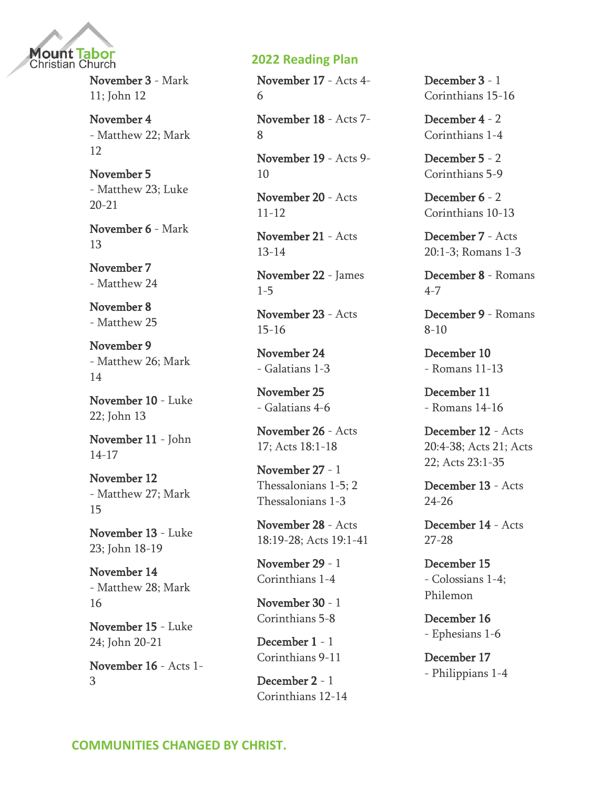

November 3 - [Mark](https://www.biblestudytools.com/passage/?q=Mark+11:1-33;+John+12:1-50)  [11; John 12](https://www.biblestudytools.com/passage/?q=Mark+11:1-33;+John+12:1-50)

November 4 - [Matthew 22; Mark](https://www.biblestudytools.com/passage/?q=Matthew+22:1-46;+Mark+12:1-44)  [12](https://www.biblestudytools.com/passage/?q=Matthew+22:1-46;+Mark+12:1-44)

November 5 - [Matthew 23; Luke](https://www.biblestudytools.com/passage/?q=Matthew+23:1-39;+Luke+20:1-47;+Luke+21:1-38)  [20-21](https://www.biblestudytools.com/passage/?q=Matthew+23:1-39;+Luke+20:1-47;+Luke+21:1-38)

November 6 - [Mark](https://www.biblestudytools.com/passage/?q=Mark+13:1-37)  [13](https://www.biblestudytools.com/passage/?q=Mark+13:1-37)

November 7 - [Matthew 24](https://www.biblestudytools.com/passage/?q=Matthew+24:1-51)

November 8 - [Matthew 25](https://www.biblestudytools.com/passage/?q=Matthew+25:1-46)

November 9 - [Matthew 26; Mark](https://www.biblestudytools.com/passage/?q=Matthew+26:1-75;+Mark+14:1-72)  [14](https://www.biblestudytools.com/passage/?q=Matthew+26:1-75;+Mark+14:1-72)

November 10 - [Luke](https://www.biblestudytools.com/passage/?q=Luke+22:1-71;+John+13:1-39)  [22; John 13](https://www.biblestudytools.com/passage/?q=Luke+22:1-71;+John+13:1-39)

November 11 - [John](https://www.biblestudytools.com/passage/?q=John+14:1-31;+John+15:1-27;+John+16:1-33;+John+17:1-26)  [14-17](https://www.biblestudytools.com/passage/?q=John+14:1-31;+John+15:1-27;+John+16:1-33;+John+17:1-26)

November 12 - [Matthew 27; Mark](https://www.biblestudytools.com/passage/?q=Matthew+27:1-66;+Mark+15:1-47)  [15](https://www.biblestudytools.com/passage/?q=Matthew+27:1-66;+Mark+15:1-47)

November 13 - [Luke](https://www.biblestudytools.com/passage/?q=Luke+23:1-56;+John+18:1-40;+John+19:1-42)  [23; John 18-19](https://www.biblestudytools.com/passage/?q=Luke+23:1-56;+John+18:1-40;+John+19:1-42)

November 14 - [Matthew 28; Mark](https://www.biblestudytools.com/passage/?q=Matthew+28:1-20;+Mark+16:1-20)  [16](https://www.biblestudytools.com/passage/?q=Matthew+28:1-20;+Mark+16:1-20)

November 15 - [Luke](https://www.biblestudytools.com/passage/?q=Luke+24:1-53;+John+20:1-31;+John+21:1-25)  [24; John 20-21](https://www.biblestudytools.com/passage/?q=Luke+24:1-53;+John+20:1-31;+John+21:1-25)

November 16 - [Acts 1-](https://www.biblestudytools.com/passage/?q=Acts+1:1-26;+Acts+2:1-47;+Acts+3:1-26) [3](https://www.biblestudytools.com/passage/?q=Acts+1:1-26;+Acts+2:1-47;+Acts+3:1-26)

#### **2022 Reading Plan**

November 17 - [Acts 4-](https://www.biblestudytools.com/passage/?q=Acts+4:1-37;+Acts+5:1-42;+Acts+6:1-15) [6](https://www.biblestudytools.com/passage/?q=Acts+4:1-37;+Acts+5:1-42;+Acts+6:1-15)

November 18 - [Acts 7-](https://www.biblestudytools.com/passage/?q=Acts+7:1-60;+Acts+8:1-40) [8](https://www.biblestudytools.com/passage/?q=Acts+7:1-60;+Acts+8:1-40)

November 19 - [Acts 9-](https://www.biblestudytools.com/passage/?q=Acts+9:1-43;+Acts+10:1-48) [10](https://www.biblestudytools.com/passage/?q=Acts+9:1-43;+Acts+10:1-48)

November 20 - [Acts](https://www.biblestudytools.com/passage/?q=Acts+11:1-30;+Acts+12:1-25)  [11-12](https://www.biblestudytools.com/passage/?q=Acts+11:1-30;+Acts+12:1-25)

November 21 - [Acts](https://www.biblestudytools.com/passage/?q=Acts+13:1-52;+Acts+14:1-28)  [13-14](https://www.biblestudytools.com/passage/?q=Acts+13:1-52;+Acts+14:1-28)

November 22 - [James](https://www.biblestudytools.com/passage/?q=James+1:1-27;+James+2:1-26;+James+3:1-18;+James+4:1-17;+James+5:1-20)  [1-5](https://www.biblestudytools.com/passage/?q=James+1:1-27;+James+2:1-26;+James+3:1-18;+James+4:1-17;+James+5:1-20)

November 23 - [Acts](https://www.biblestudytools.com/passage/?q=Acts+15:1-41;+Acts+16:1-40)  [15-16](https://www.biblestudytools.com/passage/?q=Acts+15:1-41;+Acts+16:1-40)

November 24 - [Galatians 1-3](https://www.biblestudytools.com/passage/?q=Galatians+1:1-24;+Galatians+2:1-21;+Galatians+3:1-29)

November 25 - [Galatians 4-6](https://www.biblestudytools.com/passage/?q=Galatians+4:1-31;+Galatians+5:1-26;+Galatians+6:1-18)

November 26 - [Acts](https://www.biblestudytools.com/passage/?q=Acts+17:1-34;+Acts+18:1-18)  [17; Acts 18:1-18](https://www.biblestudytools.com/passage/?q=Acts+17:1-34;+Acts+18:1-18)

November 27 - [1](https://www.biblestudytools.com/passage/?q=1+Thessalonians+1:1-10;+1+Thessalonians+2:1-20;+1+Thessalonians+3:1-13;+1+Thessalonians+4:1-18;+1+Thessalonians+5:1-28;+2+Thessalonians+1:1-17;+2+Thessalonians+2:1-17;+2+Thessalonians+3:1-18)  [Thessalonians 1-5; 2](https://www.biblestudytools.com/passage/?q=1+Thessalonians+1:1-10;+1+Thessalonians+2:1-20;+1+Thessalonians+3:1-13;+1+Thessalonians+4:1-18;+1+Thessalonians+5:1-28;+2+Thessalonians+1:1-17;+2+Thessalonians+2:1-17;+2+Thessalonians+3:1-18)  [Thessalonians 1-3](https://www.biblestudytools.com/passage/?q=1+Thessalonians+1:1-10;+1+Thessalonians+2:1-20;+1+Thessalonians+3:1-13;+1+Thessalonians+4:1-18;+1+Thessalonians+5:1-28;+2+Thessalonians+1:1-17;+2+Thessalonians+2:1-17;+2+Thessalonians+3:1-18)

November 28 - [Acts](https://www.biblestudytools.com/passage/?q=Acts+18:19-28;+Acts+19:1-41)  [18:19-28; Acts 19:1-41](https://www.biblestudytools.com/passage/?q=Acts+18:19-28;+Acts+19:1-41)

November 29 - [1](https://www.biblestudytools.com/passage/?q=1+Corinthians+1:1-31;+1+Corinthians+2:1-16;+1+Corinthians+3:1-23;+1+Corinthians+4:1-21)  [Corinthians 1-4](https://www.biblestudytools.com/passage/?q=1+Corinthians+1:1-31;+1+Corinthians+2:1-16;+1+Corinthians+3:1-23;+1+Corinthians+4:1-21)

November 30 - [1](https://www.biblestudytools.com/passage/?q=1+Corinthians+5:1-13;+1+Corinthians+6:1-20;+1+Corinthians+7:1-40;+1+Corinthians+8:1-13)  [Corinthians 5-8](https://www.biblestudytools.com/passage/?q=1+Corinthians+5:1-13;+1+Corinthians+6:1-20;+1+Corinthians+7:1-40;+1+Corinthians+8:1-13)

December 1 - [1](https://www.biblestudytools.com/passage/?q=1+Corinthians+9:1-27;+1+Corinthians+10:1-224;+1+Corinthians+11:1-34)  [Corinthians 9-11](https://www.biblestudytools.com/passage/?q=1+Corinthians+9:1-27;+1+Corinthians+10:1-224;+1+Corinthians+11:1-34)

December 2 - [1](https://www.biblestudytools.com/passage/?q=1+Corinthians+12:1-31;+1+Corinthians+13:1-13;+1+Corinthians+14:1-40)  [Corinthians 12-14](https://www.biblestudytools.com/passage/?q=1+Corinthians+12:1-31;+1+Corinthians+13:1-13;+1+Corinthians+14:1-40) December 3 - [1](https://www.biblestudytools.com/passage/?q=1+Corinthians+15:1-58;+1+Corinthians+16:1-24)  [Corinthians 15-16](https://www.biblestudytools.com/passage/?q=1+Corinthians+15:1-58;+1+Corinthians+16:1-24)

December 4 - [2](https://www.biblestudytools.com/passage/?q=2+Corinthians+1:1-24;+2+Corinthians+2:1-17;+2+Corinthians+3:1-18;+2+Corinthians+4:1-18)  [Corinthians 1-4](https://www.biblestudytools.com/passage/?q=2+Corinthians+1:1-24;+2+Corinthians+2:1-17;+2+Corinthians+3:1-18;+2+Corinthians+4:1-18)

December 5 - [2](https://www.biblestudytools.com/passage/?q=2+Corinthians+5:1-21;+2+Corinthians+6:1-18;+2+Corinthians+7:1-16;+2+Corinthians+8:1-24;+2+Corinthians+9:1-15)  [Corinthians 5-9](https://www.biblestudytools.com/passage/?q=2+Corinthians+5:1-21;+2+Corinthians+6:1-18;+2+Corinthians+7:1-16;+2+Corinthians+8:1-24;+2+Corinthians+9:1-15)

December 6 - [2](https://www.biblestudytools.com/passage/?q=2+Corinthians+10:1-18;+2+Corinthians+11:1-33;+2+Corinthians+12:1-21;+2+Corinthians+13:1-14)  [Corinthians 10-13](https://www.biblestudytools.com/passage/?q=2+Corinthians+10:1-18;+2+Corinthians+11:1-33;+2+Corinthians+12:1-21;+2+Corinthians+13:1-14)

December 7 - [Acts](https://www.biblestudytools.com/passage/?q=Acts+20:1-3;+Romans+1:1-32;+Romans+2:1-29;+Romans+3:1-31)  [20:1-3; Romans 1-3](https://www.biblestudytools.com/passage/?q=Acts+20:1-3;+Romans+1:1-32;+Romans+2:1-29;+Romans+3:1-31)

December 8 - [Romans](https://www.biblestudytools.com/passage/?q=Romans+4:1-25;+Romans+5:1-21;+Romans+6:1-23;+Romans+7:1-25)  [4-7](https://www.biblestudytools.com/passage/?q=Romans+4:1-25;+Romans+5:1-21;+Romans+6:1-23;+Romans+7:1-25)

December 9 - [Romans](https://www.biblestudytools.com/passage/?q=Romans+8:1-39;+Romans+9:1-33;+Romans+10:1-21)  [8-10](https://www.biblestudytools.com/passage/?q=Romans+8:1-39;+Romans+9:1-33;+Romans+10:1-21)

December 10 - [Romans 11-13](https://www.biblestudytools.com/passage/?q=Romans+11:1-36;+Romans+12:1-21;+Romans+13:1-14)

December 11 - [Romans 14-16](https://www.biblestudytools.com/passage/?q=Romans+14:1-26;+Romans+15:1-33;+Romans+16:1-27)

December 12 - [Acts](https://www.biblestudytools.com/passage/?q=Acts+20:4-38;+Acts+21:1-40;+Acts+22:1-30;+Acts+23:1-35)  [20:4-38; Acts 21; Acts](https://www.biblestudytools.com/passage/?q=Acts+20:4-38;+Acts+21:1-40;+Acts+22:1-30;+Acts+23:1-35)  [22; Acts 23:1-35](https://www.biblestudytools.com/passage/?q=Acts+20:4-38;+Acts+21:1-40;+Acts+22:1-30;+Acts+23:1-35)

December 13 - [Acts](https://www.biblestudytools.com/passage/?q=Acts+24:1-27;+Acts+25:1-27;+Acts+26:1-32)  [24-26](https://www.biblestudytools.com/passage/?q=Acts+24:1-27;+Acts+25:1-27;+Acts+26:1-32)

December 14 - [Acts](https://www.biblestudytools.com/passage/?q=Acts+27:1-44;+Acts+28:1-31)  [27-28](https://www.biblestudytools.com/passage/?q=Acts+27:1-44;+Acts+28:1-31)

December 15 - [Colossians 1-4;](https://www.biblestudytools.com/passage/?q=Colossians+1:1-29;+Colossians+2:1-23;+Colossians+3:1-25;+Colossians+4:1-18;+Philemon+1:1-25)  [Philemon](https://www.biblestudytools.com/passage/?q=Colossians+1:1-29;+Colossians+2:1-23;+Colossians+3:1-25;+Colossians+4:1-18;+Philemon+1:1-25)

December 16 - [Ephesians 1-6](https://www.biblestudytools.com/passage/?q=Ephesians+1:1-23;+Ephesians+2:1-22;+Ephesians+3:1-21;+Ephesians+4:1-32;+Ephesians+5:1-33;+Ephesians+6:1-24)

December 17 - [Philippians 1-4](https://www.biblestudytools.com/passage/?q=Philippians+1:1-30;+Philippians+2:1-30;+Philippians+3:1-21;+Philippians+4:1-23)